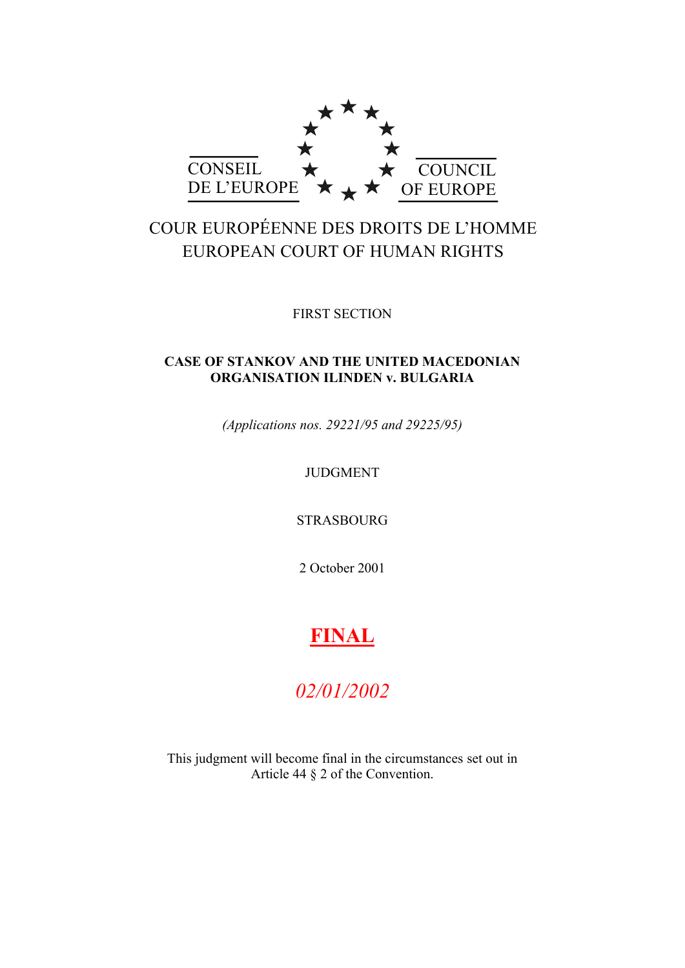

# COUR EUROPÉENNE DES DROITS DE L'HOMME EUROPEAN COURT OF HUMAN RIGHTS

FIRST SECTION

# **CASE OF STANKOV AND THE UNITED MACEDONIAN ORGANISATION ILINDEN v. BULGARIA**

*(Applications nos. 29221/95 and 29225/95)*

# JUDGMENT

STRASBOURG

2 October 2001

# **FINAL**

# *02/01/2002*

This judgment will become final in the circumstances set out in Article 44 § 2 of the Convention.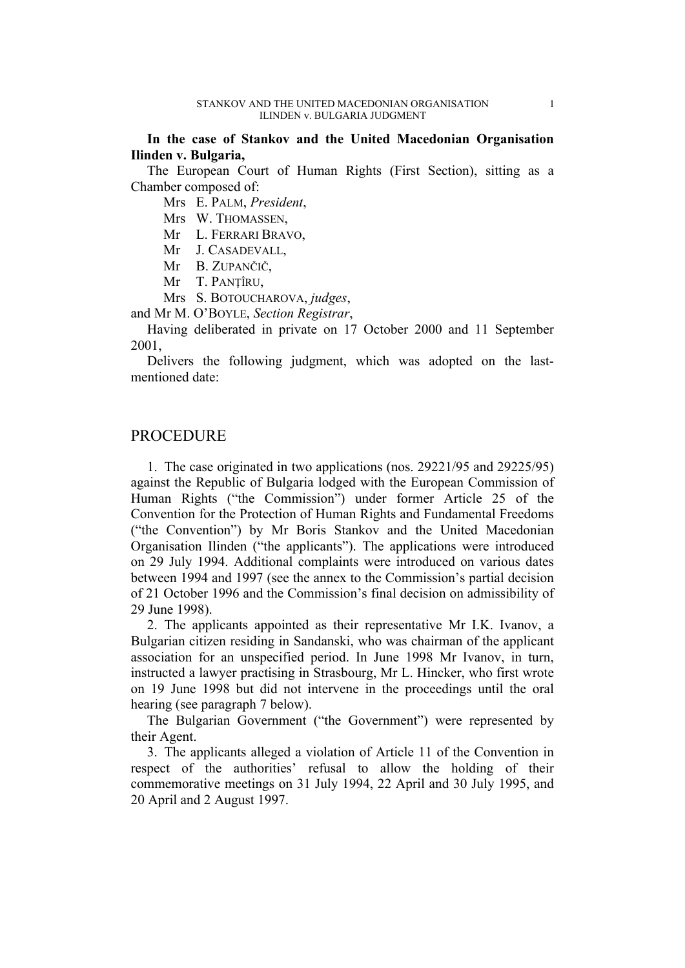**In the case of Stankov and the United Macedonian Organisation Ilinden v. Bulgaria,**

The European Court of Human Rights (First Section), sitting as a Chamber composed of:

Mrs E. PALM, *President*,

Mrs W. THOMASSEN,

Mr L. FERRARI BRAVO,

Mr J. CASADEVALL,

Mr B. ZUPANČIČ,

Mr T. PANŢÎRU,

Mrs S. BOTOUCHAROVA, *judges*,

and Mr M. O'BOYLE, *Section Registrar*,

Having deliberated in private on 17 October 2000 and 11 September 2001,

Delivers the following judgment, which was adopted on the lastmentioned date:

# PROCEDURE

1. The case originated in two applications (nos. 29221/95 and 29225/95) against the Republic of Bulgaria lodged with the European Commission of Human Rights ("the Commission") under former Article 25 of the Convention for the Protection of Human Rights and Fundamental Freedoms ("the Convention") by Mr Boris Stankov and the United Macedonian Organisation Ilinden ("the applicants"). The applications were introduced on 29 July 1994. Additional complaints were introduced on various dates between 1994 and 1997 (see the annex to the Commission's partial decision of 21 October 1996 and the Commission's final decision on admissibility of 29 June 1998).

2. The applicants appointed as their representative Mr I.K. Ivanov, a Bulgarian citizen residing in Sandanski, who was chairman of the applicant association for an unspecified period. In June 1998 Mr Ivanov, in turn, instructed a lawyer practising in Strasbourg, Mr L. Hincker, who first wrote on 19 June 1998 but did not intervene in the proceedings until the oral hearing (see paragraph 7 below).

The Bulgarian Government ("the Government") were represented by their Agent.

3. The applicants alleged a violation of Article 11 of the Convention in respect of the authorities' refusal to allow the holding of their commemorative meetings on 31 July 1994, 22 April and 30 July 1995, and 20 April and 2 August 1997.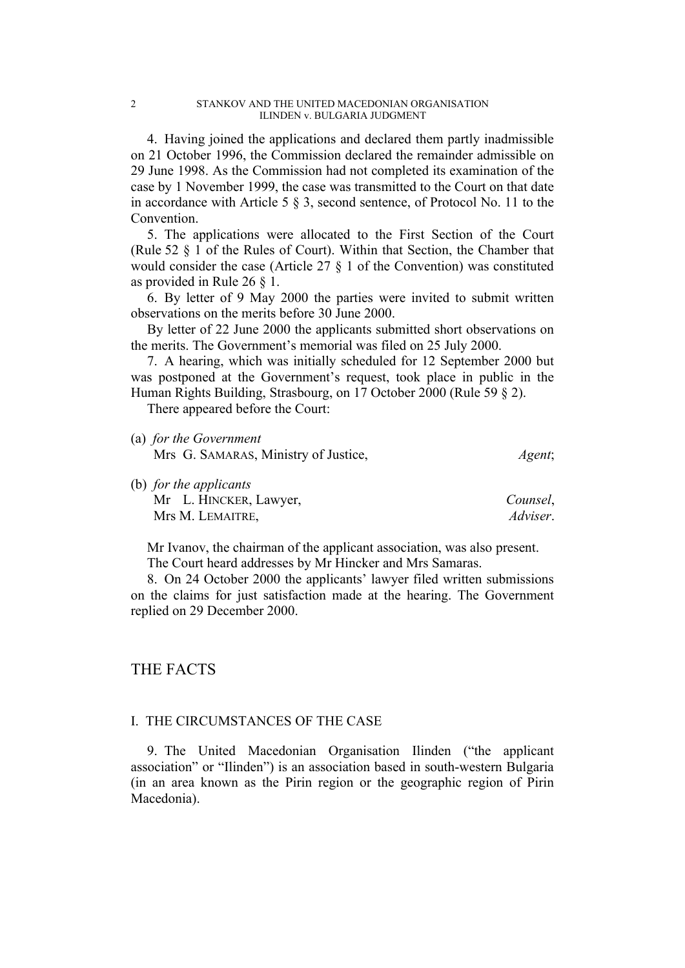4. Having joined the applications and declared them partly inadmissible on 21 October 1996, the Commission declared the remainder admissible on 29 June 1998. As the Commission had not completed its examination of the case by 1 November 1999, the case was transmitted to the Court on that date in accordance with Article 5 § 3, second sentence, of Protocol No. 11 to the Convention.

5. The applications were allocated to the First Section of the Court (Rule 52 § 1 of the Rules of Court). Within that Section, the Chamber that would consider the case (Article 27 § 1 of the Convention) was constituted as provided in Rule 26 § 1.

6. By letter of 9 May 2000 the parties were invited to submit written observations on the merits before 30 June 2000.

By letter of 22 June 2000 the applicants submitted short observations on the merits. The Government's memorial was filed on 25 July 2000.

7. A hearing, which was initially scheduled for 12 September 2000 but was postponed at the Government's request, took place in public in the Human Rights Building, Strasbourg, on 17 October 2000 (Rule 59 § 2).

There appeared before the Court:

(a) *for the Government*

| $\mathcal{L}$ and $\mathcal{L}$ is the set of $\mathcal{L}$<br>Mrs G. SAMARAS, Ministry of Justice, | Agent;               |
|-----------------------------------------------------------------------------------------------------|----------------------|
| (b) for the applicants<br>Mr L. HINCKER, Lawyer,<br>Mrs M. LEMAITRE,                                | Counsel,<br>Adviser. |

Mr Ivanov, the chairman of the applicant association, was also present.

The Court heard addresses by Mr Hincker and Mrs Samaras.

8. On 24 October 2000 the applicants' lawyer filed written submissions on the claims for just satisfaction made at the hearing. The Government replied on 29 December 2000.

# THE FACTS

# I. THE CIRCUMSTANCES OF THE CASE

9. The United Macedonian Organisation Ilinden ("the applicant association" or "Ilinden") is an association based in south-western Bulgaria (in an area known as the Pirin region or the geographic region of Pirin Macedonia).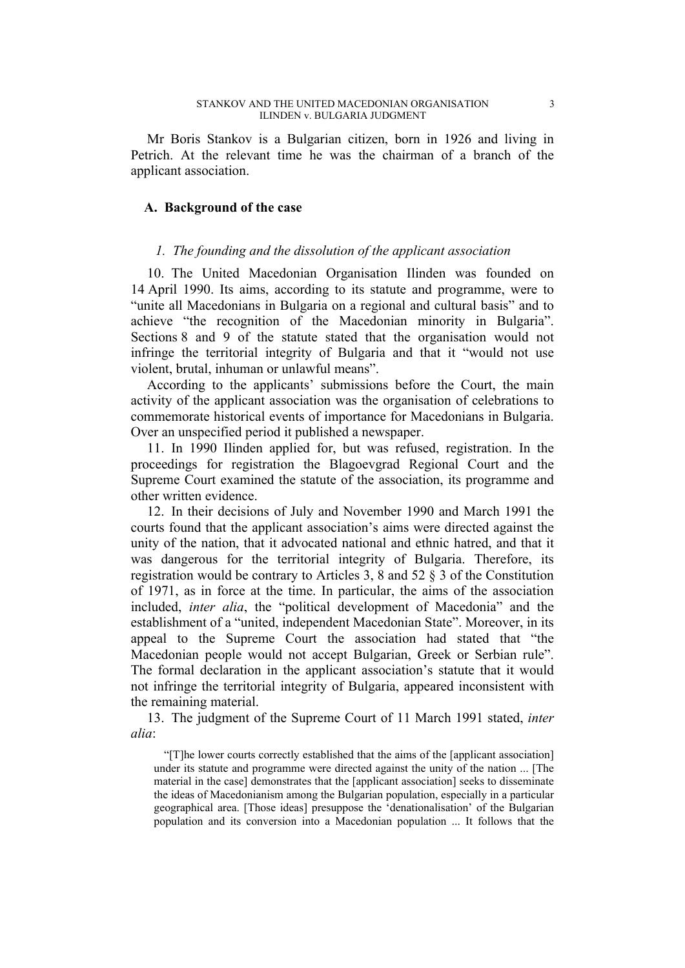Mr Boris Stankov is a Bulgarian citizen, born in 1926 and living in Petrich. At the relevant time he was the chairman of a branch of the applicant association.

## **A. Background of the case**

## *1. The founding and the dissolution of the applicant association*

10. The United Macedonian Organisation Ilinden was founded on 14 April 1990. Its aims, according to its statute and programme, were to "unite all Macedonians in Bulgaria on a regional and cultural basis" and to achieve "the recognition of the Macedonian minority in Bulgaria". Sections 8 and 9 of the statute stated that the organisation would not infringe the territorial integrity of Bulgaria and that it "would not use violent, brutal, inhuman or unlawful means".

According to the applicants' submissions before the Court, the main activity of the applicant association was the organisation of celebrations to commemorate historical events of importance for Macedonians in Bulgaria. Over an unspecified period it published a newspaper.

11. In 1990 Ilinden applied for, but was refused, registration. In the proceedings for registration the Blagoevgrad Regional Court and the Supreme Court examined the statute of the association, its programme and other written evidence.

12. In their decisions of July and November 1990 and March 1991 the courts found that the applicant association's aims were directed against the unity of the nation, that it advocated national and ethnic hatred, and that it was dangerous for the territorial integrity of Bulgaria. Therefore, its registration would be contrary to Articles 3, 8 and 52 § 3 of the Constitution of 1971, as in force at the time. In particular, the aims of the association included, *inter alia*, the "political development of Macedonia" and the establishment of a "united, independent Macedonian State". Moreover, in its appeal to the Supreme Court the association had stated that "the Macedonian people would not accept Bulgarian, Greek or Serbian rule". The formal declaration in the applicant association's statute that it would not infringe the territorial integrity of Bulgaria, appeared inconsistent with the remaining material.

13. The judgment of the Supreme Court of 11 March 1991 stated, *inter alia*:

"[T]he lower courts correctly established that the aims of the [applicant association] under its statute and programme were directed against the unity of the nation ... [The material in the case] demonstrates that the [applicant association] seeks to disseminate the ideas of Macedonianism among the Bulgarian population, especially in a particular geographical area. [Those ideas] presuppose the 'denationalisation' of the Bulgarian population and its conversion into a Macedonian population ... It follows that the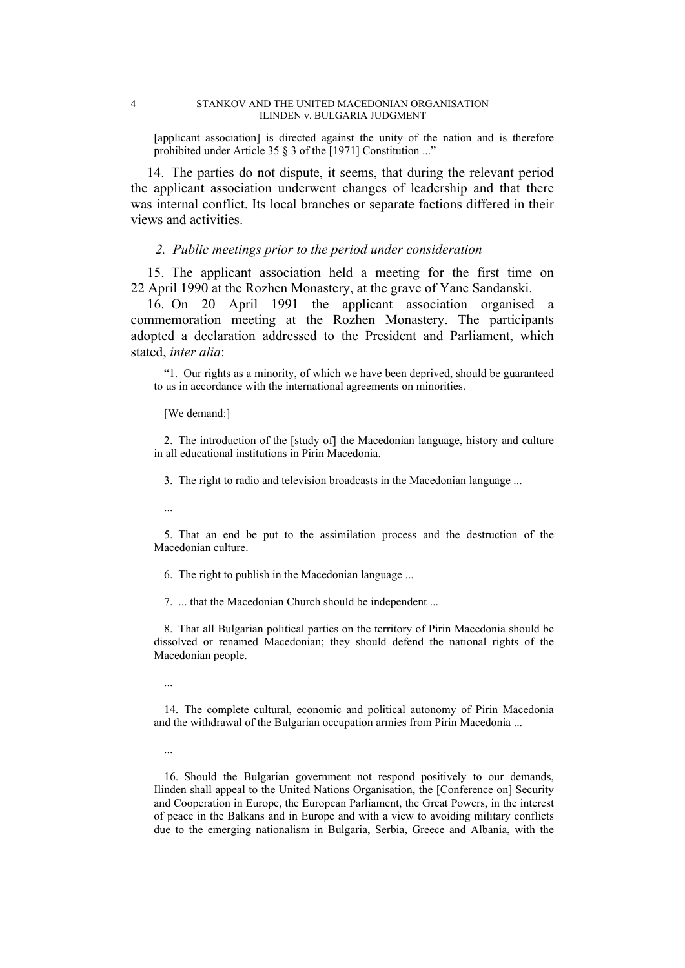[applicant association] is directed against the unity of the nation and is therefore prohibited under Article 35 § 3 of the [1971] Constitution ..."

14. The parties do not dispute, it seems, that during the relevant period the applicant association underwent changes of leadership and that there was internal conflict. Its local branches or separate factions differed in their views and activities.

## *2. Public meetings prior to the period under consideration*

15. The applicant association held a meeting for the first time on 22 April 1990 at the Rozhen Monastery, at the grave of Yane Sandanski.

16. On 20 April 1991 the applicant association organised a commemoration meeting at the Rozhen Monastery. The participants adopted a declaration addressed to the President and Parliament, which stated, *inter alia*:

"1. Our rights as a minority, of which we have been deprived, should be guaranteed to us in accordance with the international agreements on minorities.

#### [We demand:]

2. The introduction of the [study of] the Macedonian language, history and culture in all educational institutions in Pirin Macedonia.

3. The right to radio and television broadcasts in the Macedonian language ...

...

5. That an end be put to the assimilation process and the destruction of the Macedonian culture.

6. The right to publish in the Macedonian language ...

7. ... that the Macedonian Church should be independent ...

8. That all Bulgarian political parties on the territory of Pirin Macedonia should be dissolved or renamed Macedonian; they should defend the national rights of the Macedonian people.

...

14. The complete cultural, economic and political autonomy of Pirin Macedonia and the withdrawal of the Bulgarian occupation armies from Pirin Macedonia ...

16. Should the Bulgarian government not respond positively to our demands, Ilinden shall appeal to the United Nations Organisation, the [Conference on] Security and Cooperation in Europe, the European Parliament, the Great Powers, in the interest of peace in the Balkans and in Europe and with a view to avoiding military conflicts due to the emerging nationalism in Bulgaria, Serbia, Greece and Albania, with the

<sup>...</sup>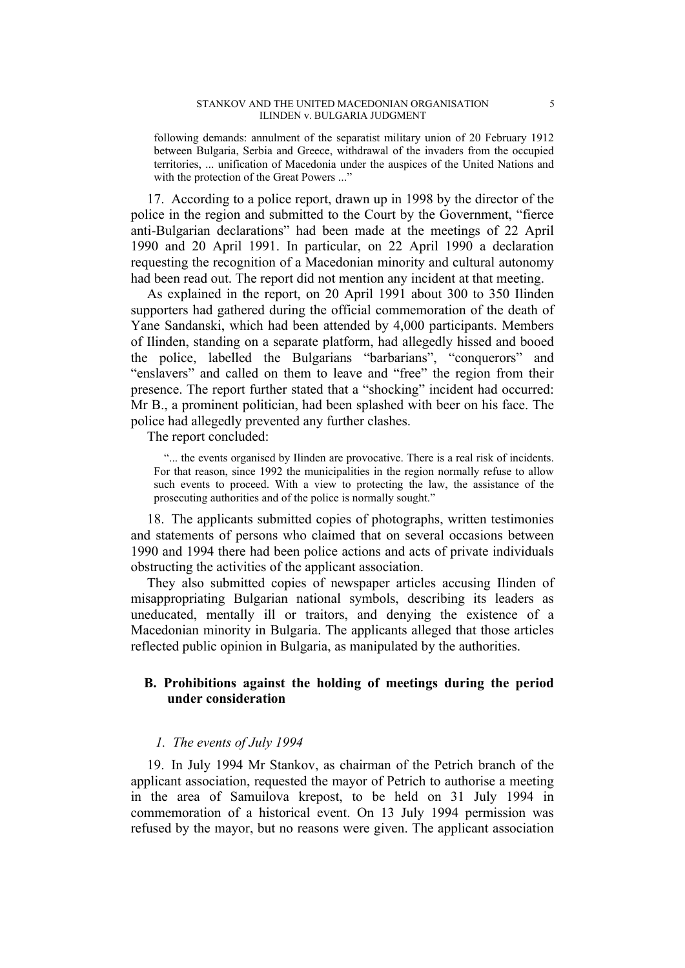#### STANKOV AND THE UNITED MACEDONIAN ORGANISATION 5 ILINDEN v. BULGARIA JUDGMENT

following demands: annulment of the separatist military union of 20 February 1912 between Bulgaria, Serbia and Greece, withdrawal of the invaders from the occupied territories, ... unification of Macedonia under the auspices of the United Nations and with the protection of the Great Powers ..."

17. According to a police report, drawn up in 1998 by the director of the police in the region and submitted to the Court by the Government, "fierce anti-Bulgarian declarations" had been made at the meetings of 22 April 1990 and 20 April 1991. In particular, on 22 April 1990 a declaration requesting the recognition of a Macedonian minority and cultural autonomy had been read out. The report did not mention any incident at that meeting.

As explained in the report, on 20 April 1991 about 300 to 350 Ilinden supporters had gathered during the official commemoration of the death of Yane Sandanski, which had been attended by 4,000 participants. Members of Ilinden, standing on a separate platform, had allegedly hissed and booed the police, labelled the Bulgarians "barbarians", "conquerors" and "enslavers" and called on them to leave and "free" the region from their presence. The report further stated that a "shocking" incident had occurred: Mr B., a prominent politician, had been splashed with beer on his face. The police had allegedly prevented any further clashes.

The report concluded:

"... the events organised by Ilinden are provocative. There is a real risk of incidents. For that reason, since 1992 the municipalities in the region normally refuse to allow such events to proceed. With a view to protecting the law, the assistance of the prosecuting authorities and of the police is normally sought."

18. The applicants submitted copies of photographs, written testimonies and statements of persons who claimed that on several occasions between 1990 and 1994 there had been police actions and acts of private individuals obstructing the activities of the applicant association.

They also submitted copies of newspaper articles accusing Ilinden of misappropriating Bulgarian national symbols, describing its leaders as uneducated, mentally ill or traitors, and denying the existence of a Macedonian minority in Bulgaria. The applicants alleged that those articles reflected public opinion in Bulgaria, as manipulated by the authorities.

# **B. Prohibitions against the holding of meetings during the period under consideration**

#### *1. The events of July 1994*

19. In July 1994 Mr Stankov, as chairman of the Petrich branch of the applicant association, requested the mayor of Petrich to authorise a meeting in the area of Samuilova krepost, to be held on 31 July 1994 in commemoration of a historical event. On 13 July 1994 permission was refused by the mayor, but no reasons were given. The applicant association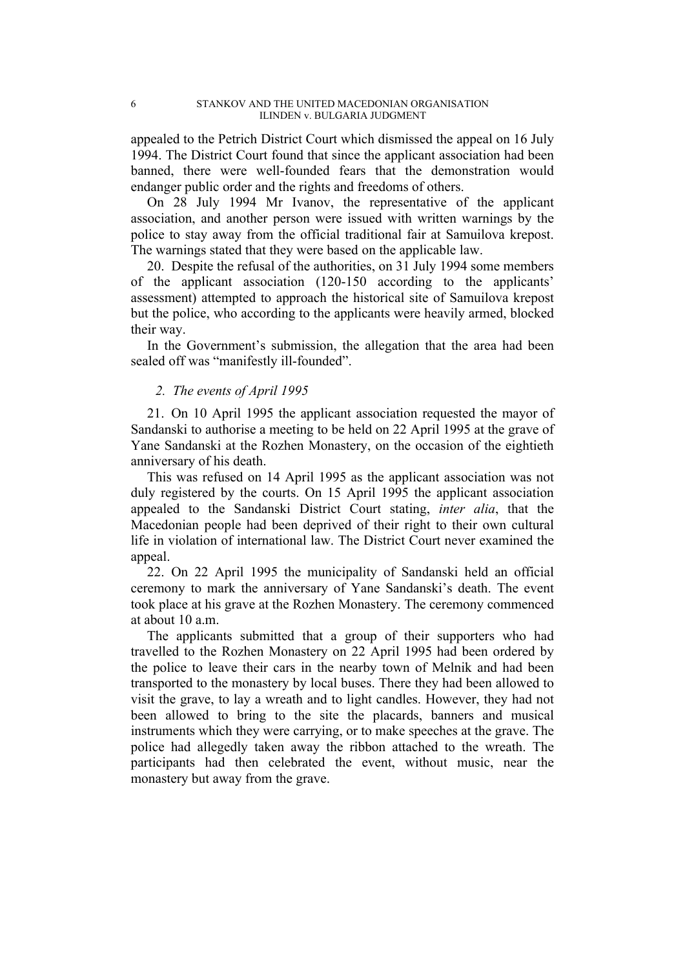appealed to the Petrich District Court which dismissed the appeal on 16 July 1994. The District Court found that since the applicant association had been banned, there were well-founded fears that the demonstration would endanger public order and the rights and freedoms of others.

On 28 July 1994 Mr Ivanov, the representative of the applicant association, and another person were issued with written warnings by the police to stay away from the official traditional fair at Samuilova krepost. The warnings stated that they were based on the applicable law.

20. Despite the refusal of the authorities, on 31 July 1994 some members of the applicant association (120-150 according to the applicants' assessment) attempted to approach the historical site of Samuilova krepost but the police, who according to the applicants were heavily armed, blocked their way.

In the Government's submission, the allegation that the area had been sealed off was "manifestly ill-founded".

# *2. The events of April 1995*

21. On 10 April 1995 the applicant association requested the mayor of Sandanski to authorise a meeting to be held on 22 April 1995 at the grave of Yane Sandanski at the Rozhen Monastery, on the occasion of the eightieth anniversary of his death.

This was refused on 14 April 1995 as the applicant association was not duly registered by the courts. On 15 April 1995 the applicant association appealed to the Sandanski District Court stating, *inter alia*, that the Macedonian people had been deprived of their right to their own cultural life in violation of international law. The District Court never examined the appeal.

22. On 22 April 1995 the municipality of Sandanski held an official ceremony to mark the anniversary of Yane Sandanski's death. The event took place at his grave at the Rozhen Monastery. The ceremony commenced at about  $10a$  m.

The applicants submitted that a group of their supporters who had travelled to the Rozhen Monastery on 22 April 1995 had been ordered by the police to leave their cars in the nearby town of Melnik and had been transported to the monastery by local buses. There they had been allowed to visit the grave, to lay a wreath and to light candles. However, they had not been allowed to bring to the site the placards, banners and musical instruments which they were carrying, or to make speeches at the grave. The police had allegedly taken away the ribbon attached to the wreath. The participants had then celebrated the event, without music, near the monastery but away from the grave.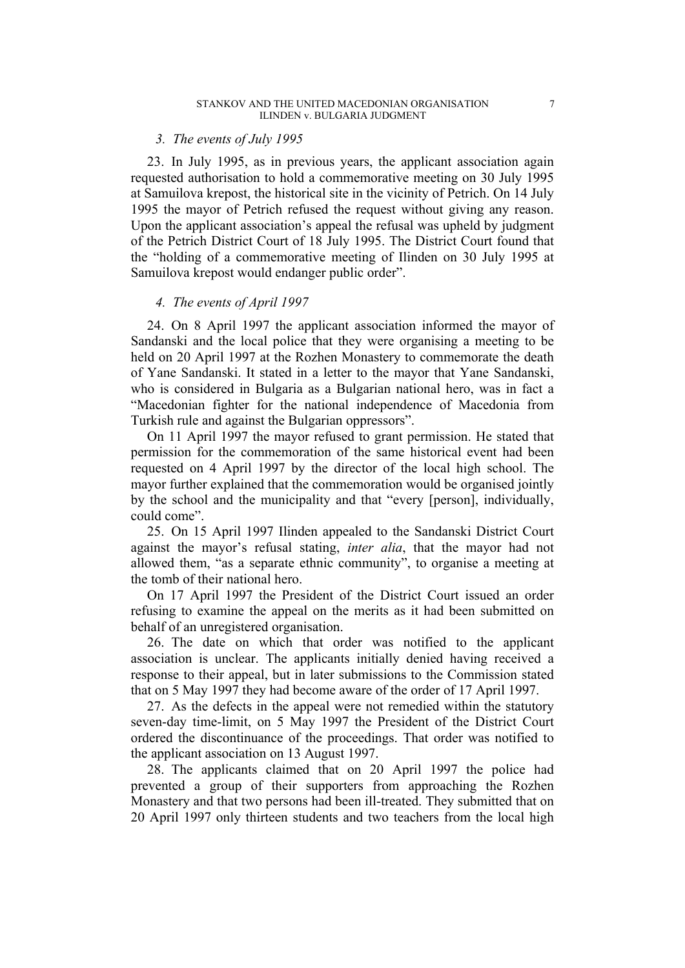#### *3. The events of July 1995*

23. In July 1995, as in previous years, the applicant association again requested authorisation to hold a commemorative meeting on 30 July 1995 at Samuilova krepost, the historical site in the vicinity of Petrich. On 14 July 1995 the mayor of Petrich refused the request without giving any reason. Upon the applicant association's appeal the refusal was upheld by judgment of the Petrich District Court of 18 July 1995. The District Court found that the "holding of a commemorative meeting of Ilinden on 30 July 1995 at Samuilova krepost would endanger public order".

## *4. The events of April 1997*

24. On 8 April 1997 the applicant association informed the mayor of Sandanski and the local police that they were organising a meeting to be held on 20 April 1997 at the Rozhen Monastery to commemorate the death of Yane Sandanski. It stated in a letter to the mayor that Yane Sandanski, who is considered in Bulgaria as a Bulgarian national hero, was in fact a "Macedonian fighter for the national independence of Macedonia from Turkish rule and against the Bulgarian oppressors".

On 11 April 1997 the mayor refused to grant permission. He stated that permission for the commemoration of the same historical event had been requested on 4 April 1997 by the director of the local high school. The mayor further explained that the commemoration would be organised jointly by the school and the municipality and that "every [person], individually, could come".

25. On 15 April 1997 Ilinden appealed to the Sandanski District Court against the mayor's refusal stating, *inter alia*, that the mayor had not allowed them, "as a separate ethnic community", to organise a meeting at the tomb of their national hero.

On 17 April 1997 the President of the District Court issued an order refusing to examine the appeal on the merits as it had been submitted on behalf of an unregistered organisation.

26. The date on which that order was notified to the applicant association is unclear. The applicants initially denied having received a response to their appeal, but in later submissions to the Commission stated that on 5 May 1997 they had become aware of the order of 17 April 1997.

27. As the defects in the appeal were not remedied within the statutory seven-day time-limit, on 5 May 1997 the President of the District Court ordered the discontinuance of the proceedings. That order was notified to the applicant association on 13 August 1997.

28. The applicants claimed that on 20 April 1997 the police had prevented a group of their supporters from approaching the Rozhen Monastery and that two persons had been ill-treated. They submitted that on 20 April 1997 only thirteen students and two teachers from the local high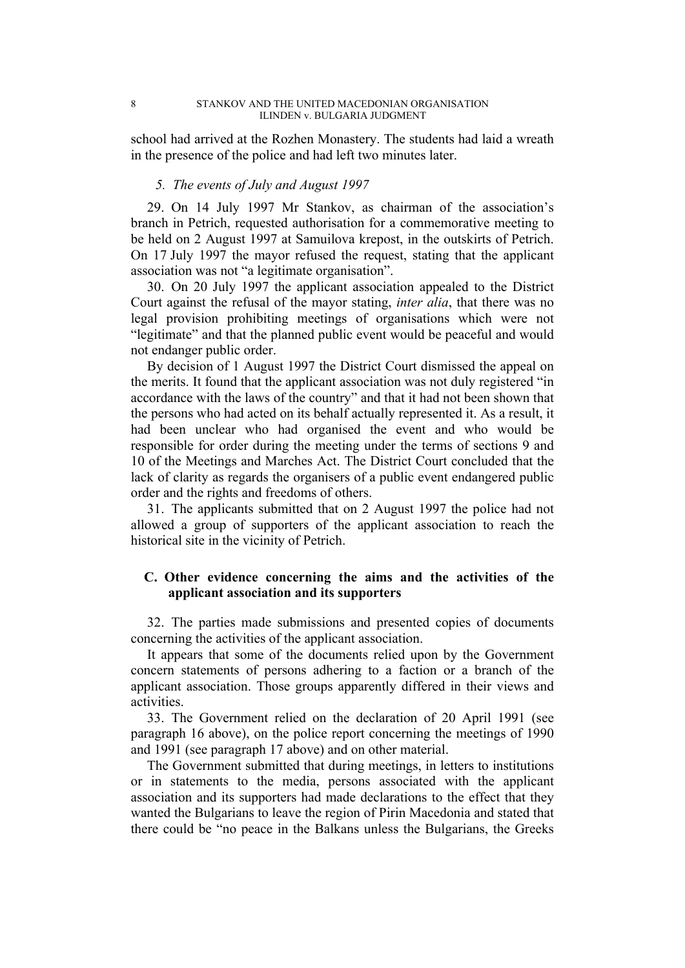school had arrived at the Rozhen Monastery. The students had laid a wreath in the presence of the police and had left two minutes later.

## *5. The events of July and August 1997*

29. On 14 July 1997 Mr Stankov, as chairman of the association's branch in Petrich, requested authorisation for a commemorative meeting to be held on 2 August 1997 at Samuilova krepost, in the outskirts of Petrich. On 17 July 1997 the mayor refused the request, stating that the applicant association was not "a legitimate organisation".

30. On 20 July 1997 the applicant association appealed to the District Court against the refusal of the mayor stating, *inter alia*, that there was no legal provision prohibiting meetings of organisations which were not "legitimate" and that the planned public event would be peaceful and would not endanger public order.

By decision of 1 August 1997 the District Court dismissed the appeal on the merits. It found that the applicant association was not duly registered "in accordance with the laws of the country" and that it had not been shown that the persons who had acted on its behalf actually represented it. As a result, it had been unclear who had organised the event and who would be responsible for order during the meeting under the terms of sections 9 and 10 of the Meetings and Marches Act. The District Court concluded that the lack of clarity as regards the organisers of a public event endangered public order and the rights and freedoms of others.

31. The applicants submitted that on 2 August 1997 the police had not allowed a group of supporters of the applicant association to reach the historical site in the vicinity of Petrich.

# **C. Other evidence concerning the aims and the activities of the applicant association and its supporters**

32. The parties made submissions and presented copies of documents concerning the activities of the applicant association.

It appears that some of the documents relied upon by the Government concern statements of persons adhering to a faction or a branch of the applicant association. Those groups apparently differed in their views and activities.

33. The Government relied on the declaration of 20 April 1991 (see paragraph 16 above), on the police report concerning the meetings of 1990 and 1991 (see paragraph 17 above) and on other material.

The Government submitted that during meetings, in letters to institutions or in statements to the media, persons associated with the applicant association and its supporters had made declarations to the effect that they wanted the Bulgarians to leave the region of Pirin Macedonia and stated that there could be "no peace in the Balkans unless the Bulgarians, the Greeks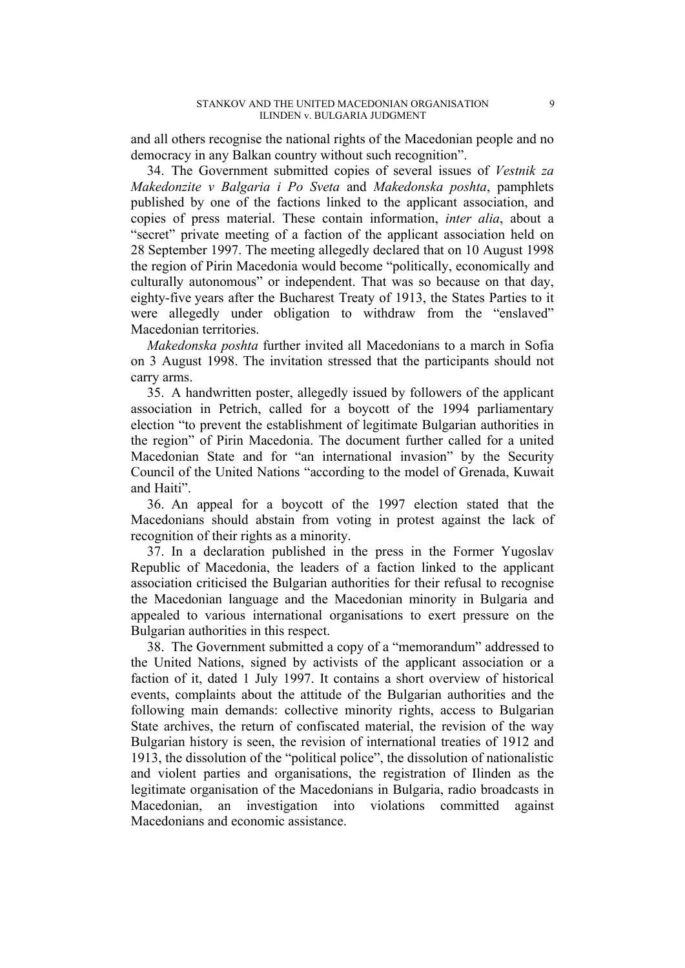and all others recognise the national rights of the Macedonian people and no democracy in any Balkan country without such recognition".

34. The Government submitted copies of several issues of *Vestnik za Makedonzite v Balgaria i Po Sveta* and *Makedonska poshta*, pamphlets published by one of the factions linked to the applicant association, and copies of press material. These contain information, *inter alia*, about a "secret" private meeting of a faction of the applicant association held on 28 September 1997. The meeting allegedly declared that on 10 August 1998 the region of Pirin Macedonia would become "politically, economically and culturally autonomous" or independent. That was so because on that day, eighty-five years after the Bucharest Treaty of 1913, the States Parties to it were allegedly under obligation to withdraw from the "enslaved" Macedonian territories.

*Makedonska poshta* further invited all Macedonians to a march in Sofia on 3 August 1998. The invitation stressed that the participants should not carry arms.

35. A handwritten poster, allegedly issued by followers of the applicant association in Petrich, called for a boycott of the 1994 parliamentary election "to prevent the establishment of legitimate Bulgarian authorities in the region" of Pirin Macedonia. The document further called for a united Macedonian State and for "an international invasion" by the Security Council of the United Nations "according to the model of Grenada, Kuwait and Haiti".

36. An appeal for a boycott of the 1997 election stated that the Macedonians should abstain from voting in protest against the lack of recognition of their rights as a minority.

37. In a declaration published in the press in the Former Yugoslav Republic of Macedonia, the leaders of a faction linked to the applicant association criticised the Bulgarian authorities for their refusal to recognise the Macedonian language and the Macedonian minority in Bulgaria and appealed to various international organisations to exert pressure on the Bulgarian authorities in this respect.

38. The Government submitted a copy of a "memorandum" addressed to the United Nations, signed by activists of the applicant association or a faction of it, dated 1 July 1997. It contains a short overview of historical events, complaints about the attitude of the Bulgarian authorities and the following main demands: collective minority rights, access to Bulgarian State archives, the return of confiscated material, the revision of the way Bulgarian history is seen, the revision of international treaties of 1912 and 1913, the dissolution of the "political police", the dissolution of nationalistic and violent parties and organisations, the registration of Ilinden as the legitimate organisation of the Macedonians in Bulgaria, radio broadcasts in Macedonian, an investigation into violations committed against Macedonians and economic assistance.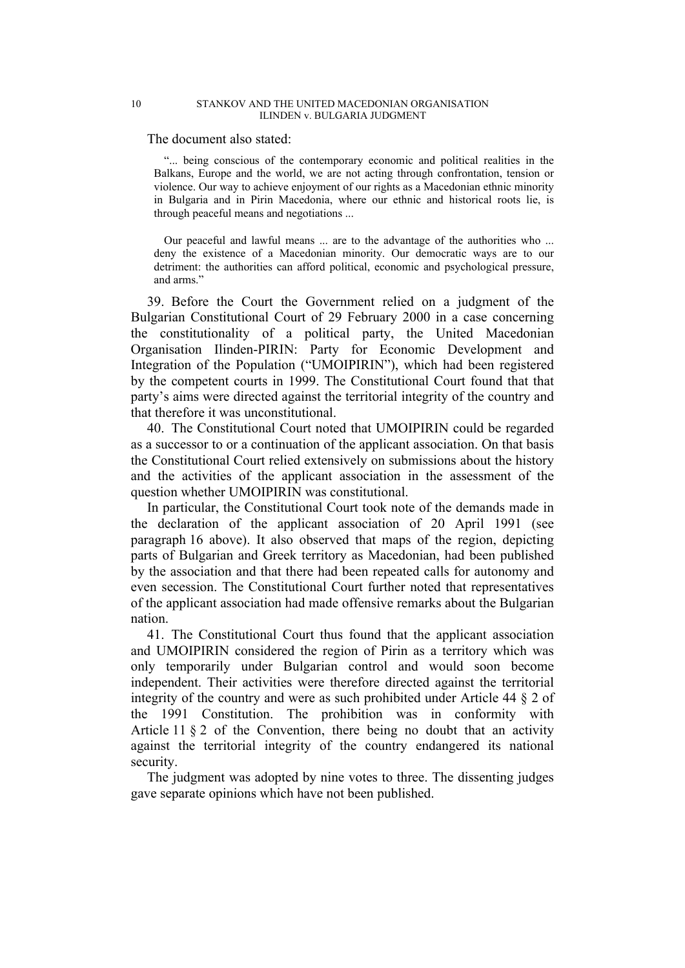#### 10 STANKOV AND THE UNITED MACEDONIAN ORGANISATION ILINDEN v. BULGARIA JUDGMENT

The document also stated:

"... being conscious of the contemporary economic and political realities in the Balkans, Europe and the world, we are not acting through confrontation, tension or violence. Our way to achieve enjoyment of our rights as a Macedonian ethnic minority in Bulgaria and in Pirin Macedonia, where our ethnic and historical roots lie, is through peaceful means and negotiations ...

Our peaceful and lawful means ... are to the advantage of the authorities who ... deny the existence of a Macedonian minority. Our democratic ways are to our detriment: the authorities can afford political, economic and psychological pressure, and arms."

39. Before the Court the Government relied on a judgment of the Bulgarian Constitutional Court of 29 February 2000 in a case concerning the constitutionality of a political party, the United Macedonian Organisation Ilinden-PIRIN: Party for Economic Development and Integration of the Population ("UMOIPIRIN"), which had been registered by the competent courts in 1999. The Constitutional Court found that that party's aims were directed against the territorial integrity of the country and that therefore it was unconstitutional.

40. The Constitutional Court noted that UMOIPIRIN could be regarded as a successor to or a continuation of the applicant association. On that basis the Constitutional Court relied extensively on submissions about the history and the activities of the applicant association in the assessment of the question whether UMOIPIRIN was constitutional.

In particular, the Constitutional Court took note of the demands made in the declaration of the applicant association of 20 April 1991 (see paragraph 16 above). It also observed that maps of the region, depicting parts of Bulgarian and Greek territory as Macedonian, had been published by the association and that there had been repeated calls for autonomy and even secession. The Constitutional Court further noted that representatives of the applicant association had made offensive remarks about the Bulgarian nation.

41. The Constitutional Court thus found that the applicant association and UMOIPIRIN considered the region of Pirin as a territory which was only temporarily under Bulgarian control and would soon become independent. Their activities were therefore directed against the territorial integrity of the country and were as such prohibited under Article 44 § 2 of the 1991 Constitution. The prohibition was in conformity with Article 11 § 2 of the Convention, there being no doubt that an activity against the territorial integrity of the country endangered its national security.

The judgment was adopted by nine votes to three. The dissenting judges gave separate opinions which have not been published.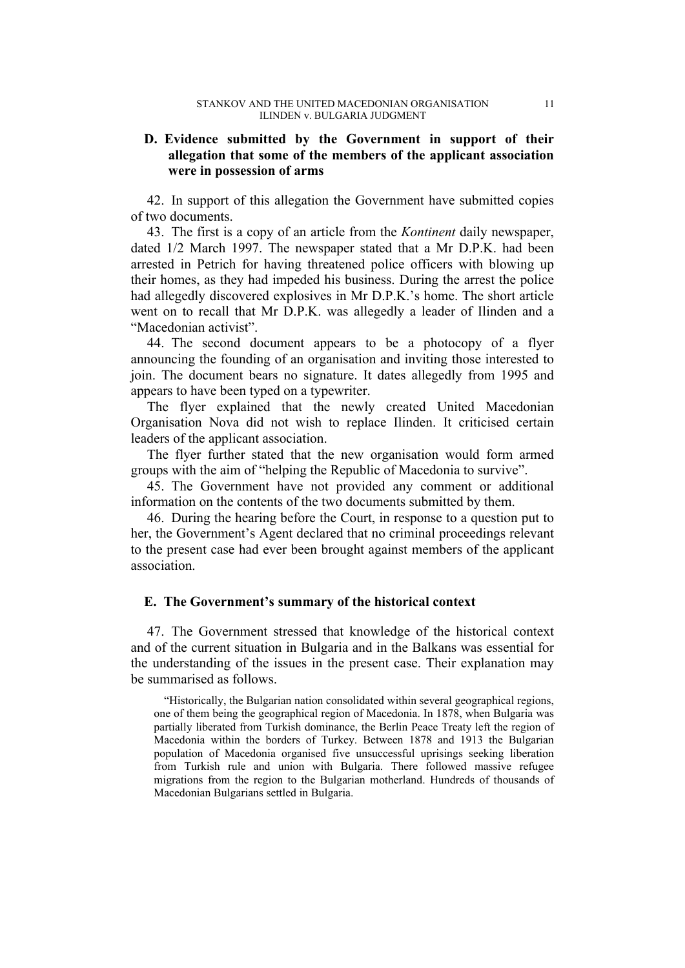# **D. Evidence submitted by the Government in support of their allegation that some of the members of the applicant association were in possession of arms**

42. In support of this allegation the Government have submitted copies of two documents.

43. The first is a copy of an article from the *Kontinent* daily newspaper, dated 1/2 March 1997. The newspaper stated that a Mr D.P.K. had been arrested in Petrich for having threatened police officers with blowing up their homes, as they had impeded his business. During the arrest the police had allegedly discovered explosives in Mr D.P.K.'s home. The short article went on to recall that Mr D.P.K. was allegedly a leader of Ilinden and a "Macedonian activist".

44. The second document appears to be a photocopy of a flyer announcing the founding of an organisation and inviting those interested to join. The document bears no signature. It dates allegedly from 1995 and appears to have been typed on a typewriter.

The flyer explained that the newly created United Macedonian Organisation Nova did not wish to replace Ilinden. It criticised certain leaders of the applicant association.

The flyer further stated that the new organisation would form armed groups with the aim of "helping the Republic of Macedonia to survive".

45. The Government have not provided any comment or additional information on the contents of the two documents submitted by them.

46. During the hearing before the Court, in response to a question put to her, the Government's Agent declared that no criminal proceedings relevant to the present case had ever been brought against members of the applicant association.

# **E. The Government's summary of the historical context**

47. The Government stressed that knowledge of the historical context and of the current situation in Bulgaria and in the Balkans was essential for the understanding of the issues in the present case. Their explanation may be summarised as follows.

"Historically, the Bulgarian nation consolidated within several geographical regions, one of them being the geographical region of Macedonia. In 1878, when Bulgaria was partially liberated from Turkish dominance, the Berlin Peace Treaty left the region of Macedonia within the borders of Turkey. Between 1878 and 1913 the Bulgarian population of Macedonia organised five unsuccessful uprisings seeking liberation from Turkish rule and union with Bulgaria. There followed massive refugee migrations from the region to the Bulgarian motherland. Hundreds of thousands of Macedonian Bulgarians settled in Bulgaria.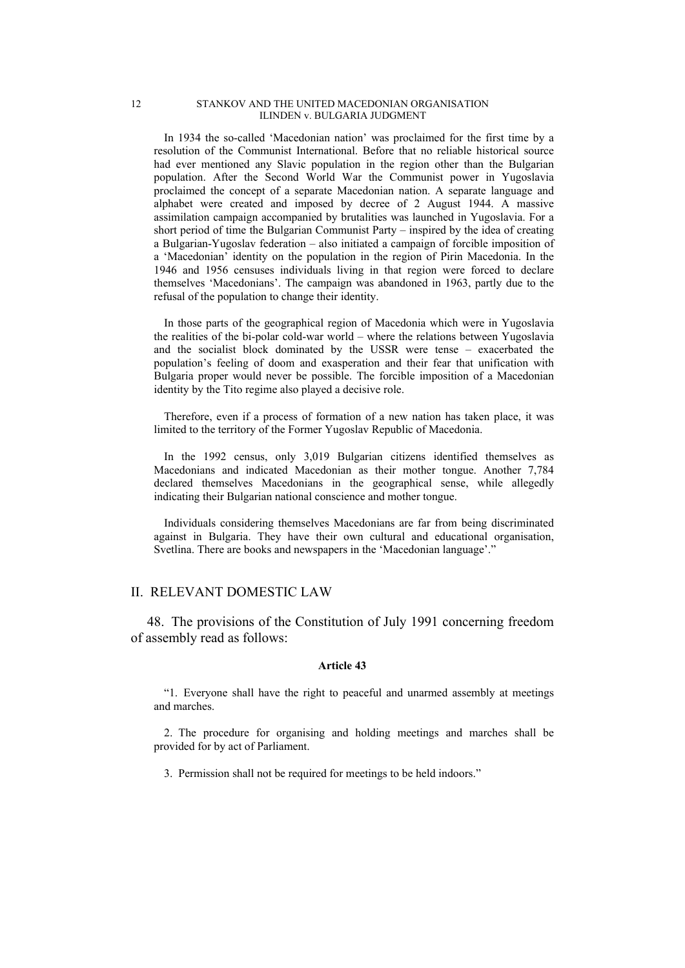#### 12 STANKOV AND THE UNITED MACEDONIAN ORGANISATION ILINDEN v. BULGARIA JUDGMENT

In 1934 the so-called 'Macedonian nation' was proclaimed for the first time by a resolution of the Communist International. Before that no reliable historical source had ever mentioned any Slavic population in the region other than the Bulgarian population. After the Second World War the Communist power in Yugoslavia proclaimed the concept of a separate Macedonian nation. A separate language and alphabet were created and imposed by decree of 2 August 1944. A massive assimilation campaign accompanied by brutalities was launched in Yugoslavia. For a short period of time the Bulgarian Communist Party – inspired by the idea of creating a Bulgarian-Yugoslav federation – also initiated a campaign of forcible imposition of a 'Macedonian' identity on the population in the region of Pirin Macedonia. In the 1946 and 1956 censuses individuals living in that region were forced to declare themselves 'Macedonians'. The campaign was abandoned in 1963, partly due to the refusal of the population to change their identity.

In those parts of the geographical region of Macedonia which were in Yugoslavia the realities of the bi-polar cold-war world – where the relations between Yugoslavia and the socialist block dominated by the USSR were tense – exacerbated the population's feeling of doom and exasperation and their fear that unification with Bulgaria proper would never be possible. The forcible imposition of a Macedonian identity by the Tito regime also played a decisive role.

Therefore, even if a process of formation of a new nation has taken place, it was limited to the territory of the Former Yugoslav Republic of Macedonia.

In the 1992 census, only 3,019 Bulgarian citizens identified themselves as Macedonians and indicated Macedonian as their mother tongue. Another 7,784 declared themselves Macedonians in the geographical sense, while allegedly indicating their Bulgarian national conscience and mother tongue.

Individuals considering themselves Macedonians are far from being discriminated against in Bulgaria. They have their own cultural and educational organisation, Svetlina. There are books and newspapers in the 'Macedonian language'."

### II. RELEVANT DOMESTIC LAW

48. The provisions of the Constitution of July 1991 concerning freedom of assembly read as follows:

#### **Article 43**

"1. Everyone shall have the right to peaceful and unarmed assembly at meetings and marches.

2. The procedure for organising and holding meetings and marches shall be provided for by act of Parliament.

3. Permission shall not be required for meetings to be held indoors."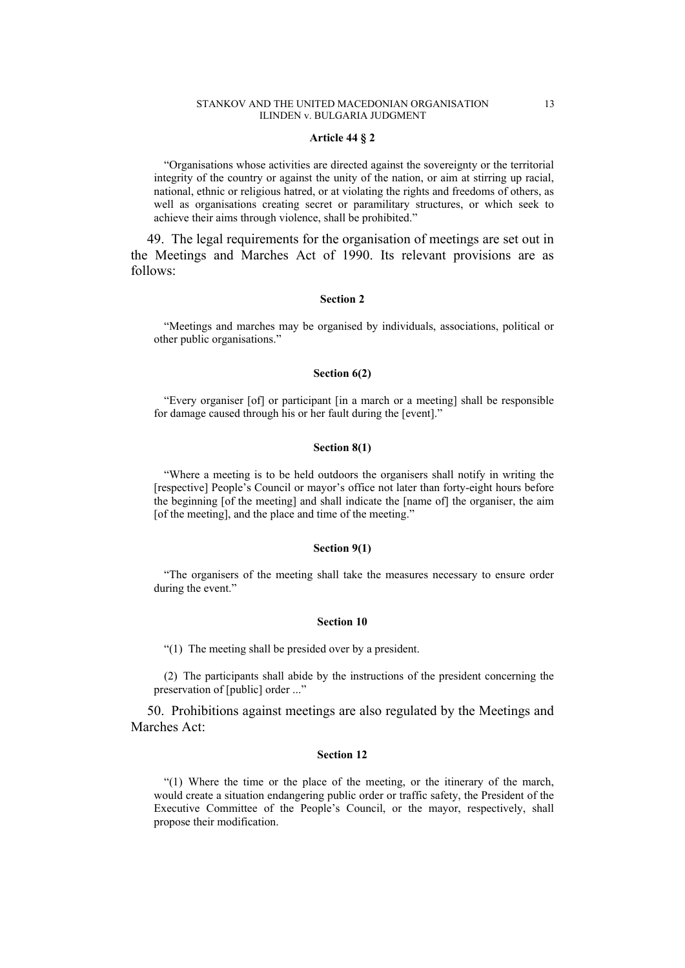#### STANKOV AND THE UNITED MACEDONIAN ORGANISATION 13 ILINDEN v. BULGARIA JUDGMENT

#### **Article 44 § 2**

"Organisations whose activities are directed against the sovereignty or the territorial integrity of the country or against the unity of the nation, or aim at stirring up racial, national, ethnic or religious hatred, or at violating the rights and freedoms of others, as well as organisations creating secret or paramilitary structures, or which seek to achieve their aims through violence, shall be prohibited."

49. The legal requirements for the organisation of meetings are set out in the Meetings and Marches Act of 1990. Its relevant provisions are as follows:

#### **Section 2**

"Meetings and marches may be organised by individuals, associations, political or other public organisations."

#### **Section 6(2)**

"Every organiser [of] or participant [in a march or a meeting] shall be responsible for damage caused through his or her fault during the [event]."

#### **Section 8(1)**

"Where a meeting is to be held outdoors the organisers shall notify in writing the [respective] People's Council or mayor's office not later than forty-eight hours before the beginning [of the meeting] and shall indicate the [name of] the organiser, the aim [of the meeting], and the place and time of the meeting."

#### **Section 9(1)**

"The organisers of the meeting shall take the measures necessary to ensure order during the event."

#### **Section 10**

"(1) The meeting shall be presided over by a president.

(2) The participants shall abide by the instructions of the president concerning the preservation of [public] order ..."

50. Prohibitions against meetings are also regulated by the Meetings and Marches Act:

#### **Section 12**

"(1) Where the time or the place of the meeting, or the itinerary of the march, would create a situation endangering public order or traffic safety, the President of the Executive Committee of the People's Council, or the mayor, respectively, shall propose their modification.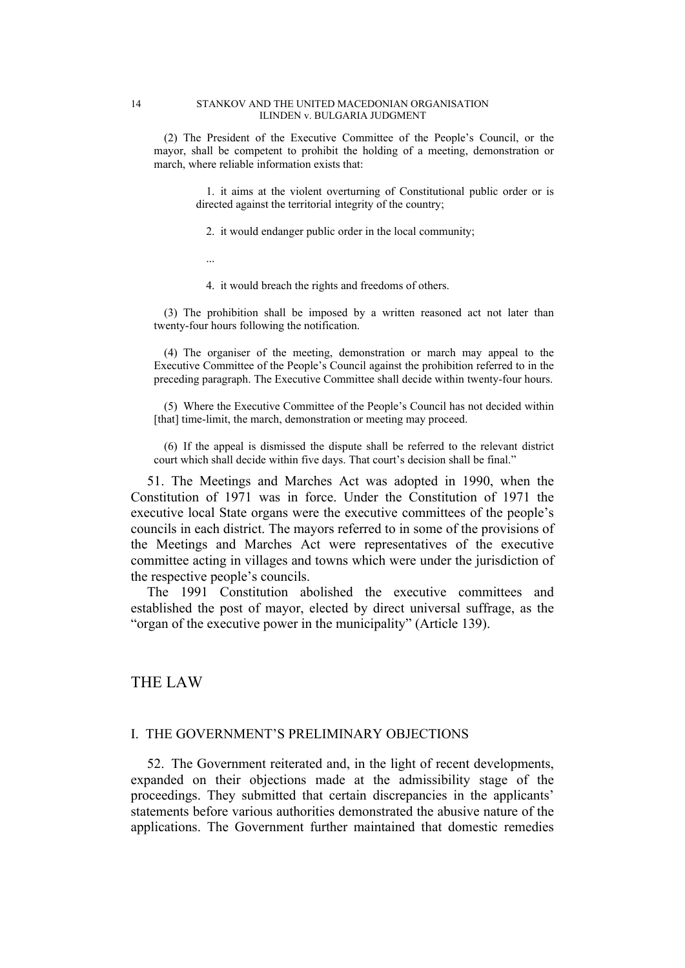#### 14 STANKOV AND THE UNITED MACEDONIAN ORGANISATION ILINDEN v. BULGARIA JUDGMENT

(2) The President of the Executive Committee of the People's Council, or the mayor, shall be competent to prohibit the holding of a meeting, demonstration or march, where reliable information exists that:

> 1. it aims at the violent overturning of Constitutional public order or is directed against the territorial integrity of the country;

2. it would endanger public order in the local community;

...

4. it would breach the rights and freedoms of others.

(3) The prohibition shall be imposed by a written reasoned act not later than twenty-four hours following the notification.

(4) The organiser of the meeting, demonstration or march may appeal to the Executive Committee of the People's Council against the prohibition referred to in the preceding paragraph. The Executive Committee shall decide within twenty-four hours.

(5) Where the Executive Committee of the People's Council has not decided within [that] time-limit, the march, demonstration or meeting may proceed.

(6) If the appeal is dismissed the dispute shall be referred to the relevant district court which shall decide within five days. That court's decision shall be final."

51. The Meetings and Marches Act was adopted in 1990, when the Constitution of 1971 was in force. Under the Constitution of 1971 the executive local State organs were the executive committees of the people's councils in each district. The mayors referred to in some of the provisions of the Meetings and Marches Act were representatives of the executive committee acting in villages and towns which were under the jurisdiction of the respective people's councils.

The 1991 Constitution abolished the executive committees and established the post of mayor, elected by direct universal suffrage, as the "organ of the executive power in the municipality" (Article 139).

# THE LAW

## I. THE GOVERNMENT'S PRELIMINARY OBJECTIONS

52. The Government reiterated and, in the light of recent developments, expanded on their objections made at the admissibility stage of the proceedings. They submitted that certain discrepancies in the applicants' statements before various authorities demonstrated the abusive nature of the applications. The Government further maintained that domestic remedies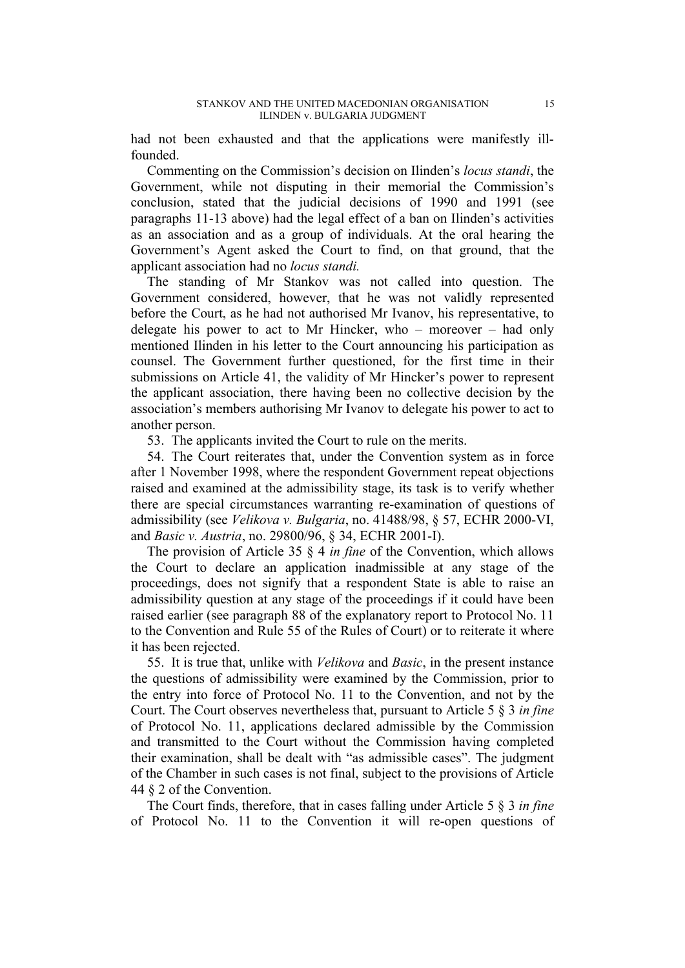had not been exhausted and that the applications were manifestly illfounded.

Commenting on the Commission's decision on Ilinden's *locus standi*, the Government, while not disputing in their memorial the Commission's conclusion, stated that the judicial decisions of 1990 and 1991 (see paragraphs 11-13 above) had the legal effect of a ban on Ilinden's activities as an association and as a group of individuals. At the oral hearing the Government's Agent asked the Court to find, on that ground, that the applicant association had no *locus standi.*

The standing of Mr Stankov was not called into question. The Government considered, however, that he was not validly represented before the Court, as he had not authorised Mr Ivanov, his representative, to delegate his power to act to Mr Hincker, who – moreover – had only mentioned Ilinden in his letter to the Court announcing his participation as counsel. The Government further questioned, for the first time in their submissions on Article 41, the validity of Mr Hincker's power to represent the applicant association, there having been no collective decision by the association's members authorising Mr Ivanov to delegate his power to act to another person.

53. The applicants invited the Court to rule on the merits.

54. The Court reiterates that, under the Convention system as in force after 1 November 1998, where the respondent Government repeat objections raised and examined at the admissibility stage, its task is to verify whether there are special circumstances warranting re-examination of questions of admissibility (see *Velikova v. Bulgaria*, no. 41488/98, § 57, ECHR 2000-VI, and *Basic v. Austria*, no. 29800/96, § 34, ECHR 2001-I).

The provision of Article 35 § 4 *in fine* of the Convention, which allows the Court to declare an application inadmissible at any stage of the proceedings, does not signify that a respondent State is able to raise an admissibility question at any stage of the proceedings if it could have been raised earlier (see paragraph 88 of the explanatory report to Protocol No. 11 to the Convention and Rule 55 of the Rules of Court) or to reiterate it where it has been rejected.

55. It is true that, unlike with *Velikova* and *Basic*, in the present instance the questions of admissibility were examined by the Commission, prior to the entry into force of Protocol No. 11 to the Convention, and not by the Court. The Court observes nevertheless that, pursuant to Article 5 § 3 *in fine* of Protocol No. 11, applications declared admissible by the Commission and transmitted to the Court without the Commission having completed their examination, shall be dealt with "as admissible cases". The judgment of the Chamber in such cases is not final, subject to the provisions of Article 44 § 2 of the Convention.

The Court finds, therefore, that in cases falling under Article 5 § 3 *in fine* of Protocol No. 11 to the Convention it will re-open questions of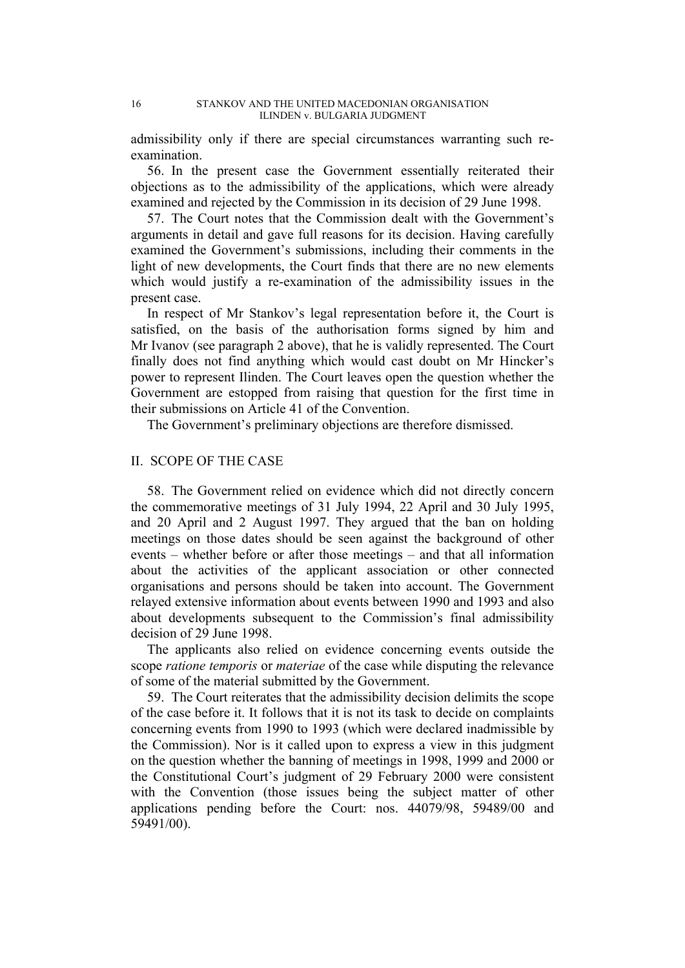admissibility only if there are special circumstances warranting such reexamination.

56. In the present case the Government essentially reiterated their objections as to the admissibility of the applications, which were already examined and rejected by the Commission in its decision of 29 June 1998.

57. The Court notes that the Commission dealt with the Government's arguments in detail and gave full reasons for its decision. Having carefully examined the Government's submissions, including their comments in the light of new developments, the Court finds that there are no new elements which would justify a re-examination of the admissibility issues in the present case.

In respect of Mr Stankov's legal representation before it, the Court is satisfied, on the basis of the authorisation forms signed by him and Mr Ivanov (see paragraph 2 above), that he is validly represented. The Court finally does not find anything which would cast doubt on Mr Hincker's power to represent Ilinden. The Court leaves open the question whether the Government are estopped from raising that question for the first time in their submissions on Article 41 of the Convention.

The Government's preliminary objections are therefore dismissed.

# II. SCOPE OF THE CASE

58. The Government relied on evidence which did not directly concern the commemorative meetings of 31 July 1994, 22 April and 30 July 1995, and 20 April and 2 August 1997. They argued that the ban on holding meetings on those dates should be seen against the background of other events – whether before or after those meetings – and that all information about the activities of the applicant association or other connected organisations and persons should be taken into account. The Government relayed extensive information about events between 1990 and 1993 and also about developments subsequent to the Commission's final admissibility decision of 29 June 1998.

The applicants also relied on evidence concerning events outside the scope *ratione temporis* or *materiae* of the case while disputing the relevance of some of the material submitted by the Government.

59. The Court reiterates that the admissibility decision delimits the scope of the case before it. It follows that it is not its task to decide on complaints concerning events from 1990 to 1993 (which were declared inadmissible by the Commission). Nor is it called upon to express a view in this judgment on the question whether the banning of meetings in 1998, 1999 and 2000 or the Constitutional Court's judgment of 29 February 2000 were consistent with the Convention (those issues being the subject matter of other applications pending before the Court: nos. 44079/98, 59489/00 and 59491/00).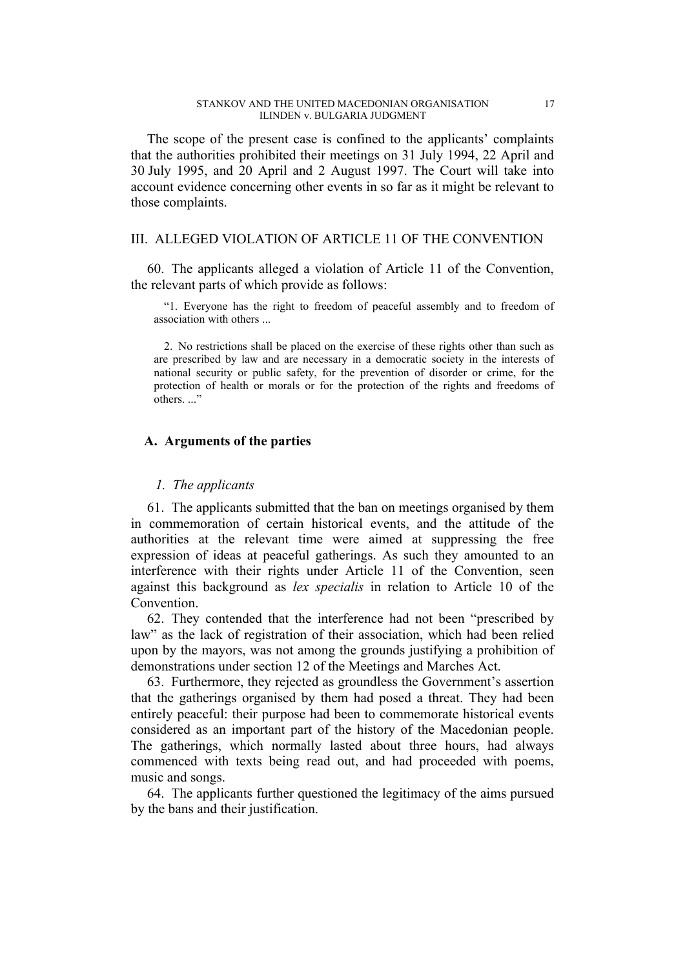The scope of the present case is confined to the applicants' complaints that the authorities prohibited their meetings on 31 July 1994, 22 April and 30 July 1995, and 20 April and 2 August 1997. The Court will take into account evidence concerning other events in so far as it might be relevant to those complaints.

## III. ALLEGED VIOLATION OF ARTICLE 11 OF THE CONVENTION

60. The applicants alleged a violation of Article 11 of the Convention, the relevant parts of which provide as follows:

"1. Everyone has the right to freedom of peaceful assembly and to freedom of association with others ...

2. No restrictions shall be placed on the exercise of these rights other than such as are prescribed by law and are necessary in a democratic society in the interests of national security or public safety, for the prevention of disorder or crime, for the protection of health or morals or for the protection of the rights and freedoms of others. ...

## **A. Arguments of the parties**

## *1. The applicants*

61. The applicants submitted that the ban on meetings organised by them in commemoration of certain historical events, and the attitude of the authorities at the relevant time were aimed at suppressing the free expression of ideas at peaceful gatherings. As such they amounted to an interference with their rights under Article 11 of the Convention, seen against this background as *lex specialis* in relation to Article 10 of the Convention.

62. They contended that the interference had not been "prescribed by law" as the lack of registration of their association, which had been relied upon by the mayors, was not among the grounds justifying a prohibition of demonstrations under section 12 of the Meetings and Marches Act.

63. Furthermore, they rejected as groundless the Government's assertion that the gatherings organised by them had posed a threat. They had been entirely peaceful: their purpose had been to commemorate historical events considered as an important part of the history of the Macedonian people. The gatherings, which normally lasted about three hours, had always commenced with texts being read out, and had proceeded with poems, music and songs.

64. The applicants further questioned the legitimacy of the aims pursued by the bans and their justification.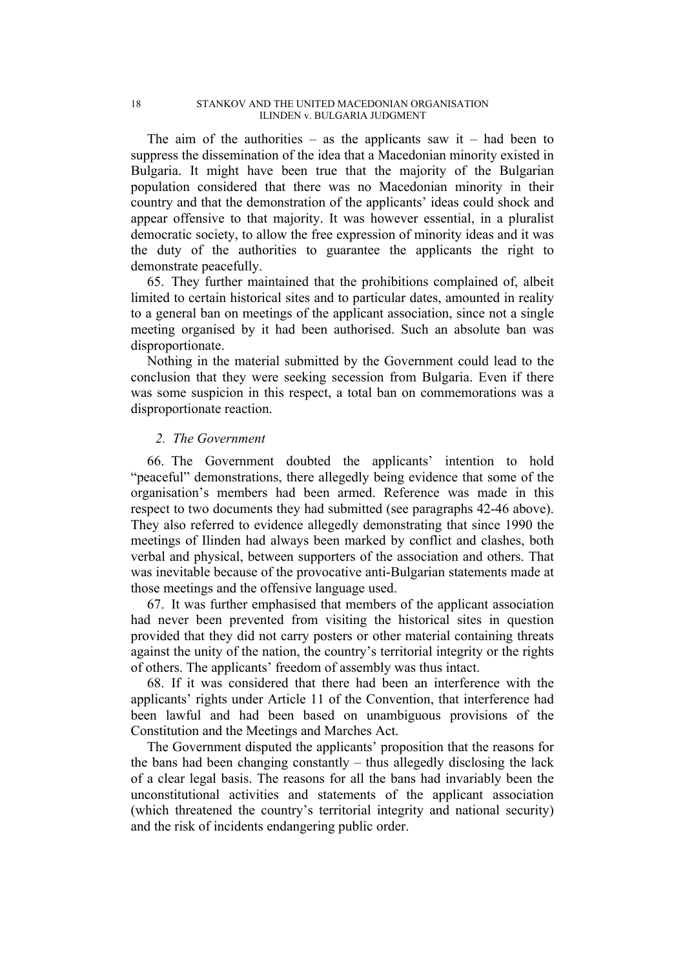The aim of the authorities – as the applicants saw it – had been to suppress the dissemination of the idea that a Macedonian minority existed in Bulgaria. It might have been true that the majority of the Bulgarian population considered that there was no Macedonian minority in their country and that the demonstration of the applicants' ideas could shock and appear offensive to that majority. It was however essential, in a pluralist democratic society, to allow the free expression of minority ideas and it was the duty of the authorities to guarantee the applicants the right to demonstrate peacefully.

65. They further maintained that the prohibitions complained of, albeit limited to certain historical sites and to particular dates, amounted in reality to a general ban on meetings of the applicant association, since not a single meeting organised by it had been authorised. Such an absolute ban was disproportionate.

Nothing in the material submitted by the Government could lead to the conclusion that they were seeking secession from Bulgaria. Even if there was some suspicion in this respect, a total ban on commemorations was a disproportionate reaction.

## *2. The Government*

66. The Government doubted the applicants' intention to hold "peaceful" demonstrations, there allegedly being evidence that some of the organisation's members had been armed. Reference was made in this respect to two documents they had submitted (see paragraphs 42-46 above). They also referred to evidence allegedly demonstrating that since 1990 the meetings of Ilinden had always been marked by conflict and clashes, both verbal and physical, between supporters of the association and others. That was inevitable because of the provocative anti-Bulgarian statements made at those meetings and the offensive language used.

67. It was further emphasised that members of the applicant association had never been prevented from visiting the historical sites in question provided that they did not carry posters or other material containing threats against the unity of the nation, the country's territorial integrity or the rights of others. The applicants' freedom of assembly was thus intact.

68. If it was considered that there had been an interference with the applicants' rights under Article 11 of the Convention, that interference had been lawful and had been based on unambiguous provisions of the Constitution and the Meetings and Marches Act.

The Government disputed the applicants' proposition that the reasons for the bans had been changing constantly – thus allegedly disclosing the lack of a clear legal basis. The reasons for all the bans had invariably been the unconstitutional activities and statements of the applicant association (which threatened the country's territorial integrity and national security) and the risk of incidents endangering public order.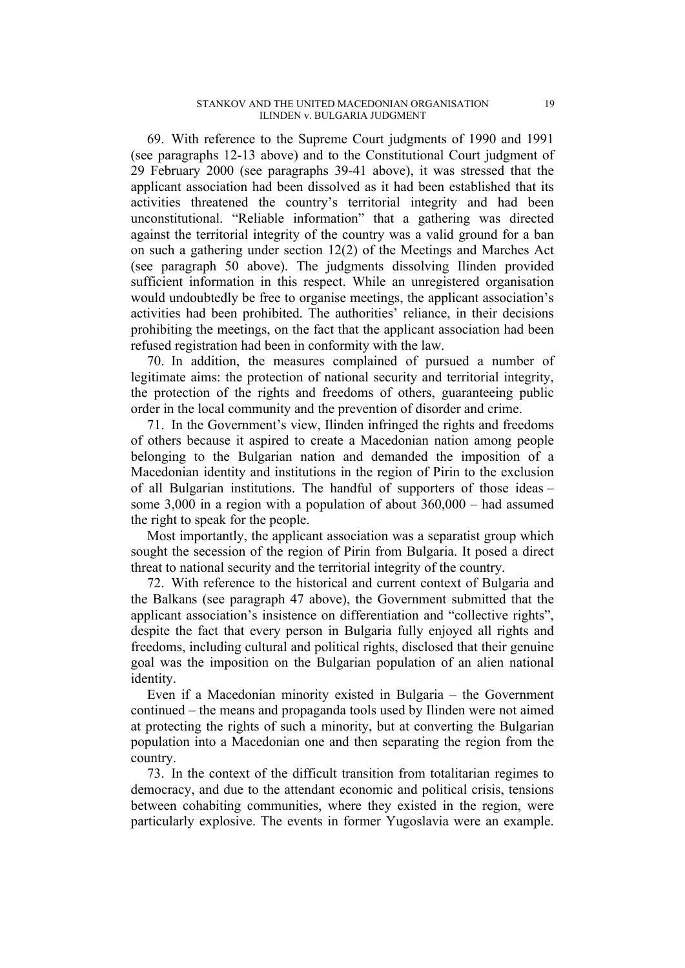69. With reference to the Supreme Court judgments of 1990 and 1991 (see paragraphs 12-13 above) and to the Constitutional Court judgment of 29 February 2000 (see paragraphs 39-41 above), it was stressed that the applicant association had been dissolved as it had been established that its activities threatened the country's territorial integrity and had been unconstitutional. "Reliable information" that a gathering was directed against the territorial integrity of the country was a valid ground for a ban on such a gathering under section 12(2) of the Meetings and Marches Act (see paragraph 50 above). The judgments dissolving Ilinden provided sufficient information in this respect. While an unregistered organisation would undoubtedly be free to organise meetings, the applicant association's activities had been prohibited. The authorities' reliance, in their decisions prohibiting the meetings, on the fact that the applicant association had been refused registration had been in conformity with the law.

70. In addition, the measures complained of pursued a number of legitimate aims: the protection of national security and territorial integrity, the protection of the rights and freedoms of others, guaranteeing public order in the local community and the prevention of disorder and crime.

71. In the Government's view, Ilinden infringed the rights and freedoms of others because it aspired to create a Macedonian nation among people belonging to the Bulgarian nation and demanded the imposition of a Macedonian identity and institutions in the region of Pirin to the exclusion of all Bulgarian institutions. The handful of supporters of those ideas – some 3,000 in a region with a population of about 360,000 – had assumed the right to speak for the people.

Most importantly, the applicant association was a separatist group which sought the secession of the region of Pirin from Bulgaria. It posed a direct threat to national security and the territorial integrity of the country.

72. With reference to the historical and current context of Bulgaria and the Balkans (see paragraph 47 above), the Government submitted that the applicant association's insistence on differentiation and "collective rights", despite the fact that every person in Bulgaria fully enjoyed all rights and freedoms, including cultural and political rights, disclosed that their genuine goal was the imposition on the Bulgarian population of an alien national identity.

Even if a Macedonian minority existed in Bulgaria – the Government continued – the means and propaganda tools used by Ilinden were not aimed at protecting the rights of such a minority, but at converting the Bulgarian population into a Macedonian one and then separating the region from the country.

73. In the context of the difficult transition from totalitarian regimes to democracy, and due to the attendant economic and political crisis, tensions between cohabiting communities, where they existed in the region, were particularly explosive. The events in former Yugoslavia were an example.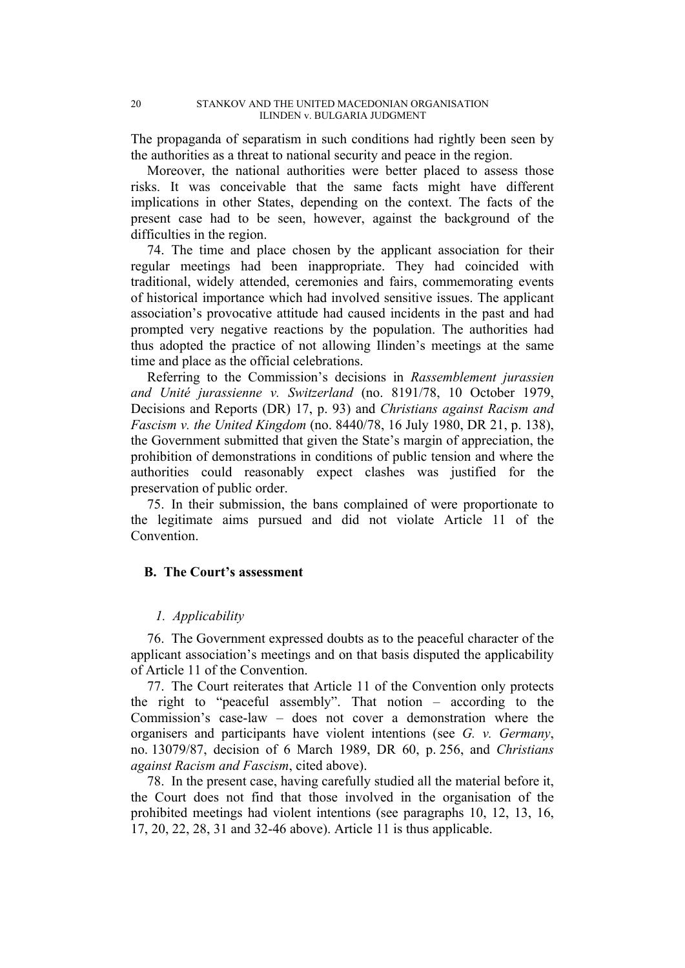The propaganda of separatism in such conditions had rightly been seen by the authorities as a threat to national security and peace in the region.

Moreover, the national authorities were better placed to assess those risks. It was conceivable that the same facts might have different implications in other States, depending on the context. The facts of the present case had to be seen, however, against the background of the difficulties in the region.

74. The time and place chosen by the applicant association for their regular meetings had been inappropriate. They had coincided with traditional, widely attended, ceremonies and fairs, commemorating events of historical importance which had involved sensitive issues. The applicant association's provocative attitude had caused incidents in the past and had prompted very negative reactions by the population. The authorities had thus adopted the practice of not allowing Ilinden's meetings at the same time and place as the official celebrations.

Referring to the Commission's decisions in *Rassemblement jurassien and Unité jurassienne v. Switzerland* (no. 8191/78, 10 October 1979, Decisions and Reports (DR) 17, p. 93) and *Christians against Racism and Fascism v. the United Kingdom* (no. 8440/78, 16 July 1980, DR 21, p. 138), the Government submitted that given the State's margin of appreciation, the prohibition of demonstrations in conditions of public tension and where the authorities could reasonably expect clashes was justified for the preservation of public order.

75. In their submission, the bans complained of were proportionate to the legitimate aims pursued and did not violate Article 11 of the Convention.

# **B. The Court's assessment**

## *1. Applicability*

76. The Government expressed doubts as to the peaceful character of the applicant association's meetings and on that basis disputed the applicability of Article 11 of the Convention.

77. The Court reiterates that Article 11 of the Convention only protects the right to "peaceful assembly". That notion – according to the Commission's case-law – does not cover a demonstration where the organisers and participants have violent intentions (see *G. v. Germany*, no. 13079/87, decision of 6 March 1989, DR 60, p. 256, and *Christians against Racism and Fascism*, cited above).

78. In the present case, having carefully studied all the material before it, the Court does not find that those involved in the organisation of the prohibited meetings had violent intentions (see paragraphs 10, 12, 13, 16, 17, 20, 22, 28, 31 and 32-46 above). Article 11 is thus applicable.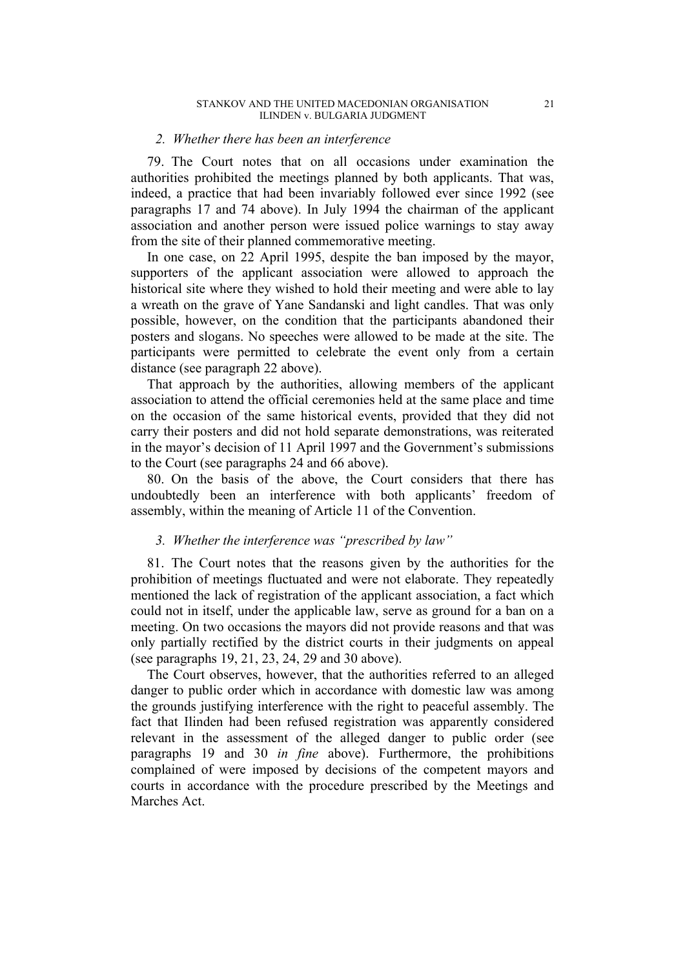### *2. Whether there has been an interference*

79. The Court notes that on all occasions under examination the authorities prohibited the meetings planned by both applicants. That was, indeed, a practice that had been invariably followed ever since 1992 (see paragraphs 17 and 74 above). In July 1994 the chairman of the applicant association and another person were issued police warnings to stay away from the site of their planned commemorative meeting.

In one case, on 22 April 1995, despite the ban imposed by the mayor, supporters of the applicant association were allowed to approach the historical site where they wished to hold their meeting and were able to lay a wreath on the grave of Yane Sandanski and light candles. That was only possible, however, on the condition that the participants abandoned their posters and slogans. No speeches were allowed to be made at the site. The participants were permitted to celebrate the event only from a certain distance (see paragraph 22 above).

That approach by the authorities, allowing members of the applicant association to attend the official ceremonies held at the same place and time on the occasion of the same historical events, provided that they did not carry their posters and did not hold separate demonstrations, was reiterated in the mayor's decision of 11 April 1997 and the Government's submissions to the Court (see paragraphs 24 and 66 above).

80. On the basis of the above, the Court considers that there has undoubtedly been an interference with both applicants' freedom of assembly, within the meaning of Article 11 of the Convention.

## *3. Whether the interference was "prescribed by law"*

81. The Court notes that the reasons given by the authorities for the prohibition of meetings fluctuated and were not elaborate. They repeatedly mentioned the lack of registration of the applicant association, a fact which could not in itself, under the applicable law, serve as ground for a ban on a meeting. On two occasions the mayors did not provide reasons and that was only partially rectified by the district courts in their judgments on appeal (see paragraphs 19, 21, 23, 24, 29 and 30 above).

The Court observes, however, that the authorities referred to an alleged danger to public order which in accordance with domestic law was among the grounds justifying interference with the right to peaceful assembly. The fact that Ilinden had been refused registration was apparently considered relevant in the assessment of the alleged danger to public order (see paragraphs 19 and 30 *in fine* above). Furthermore, the prohibitions complained of were imposed by decisions of the competent mayors and courts in accordance with the procedure prescribed by the Meetings and Marches Act.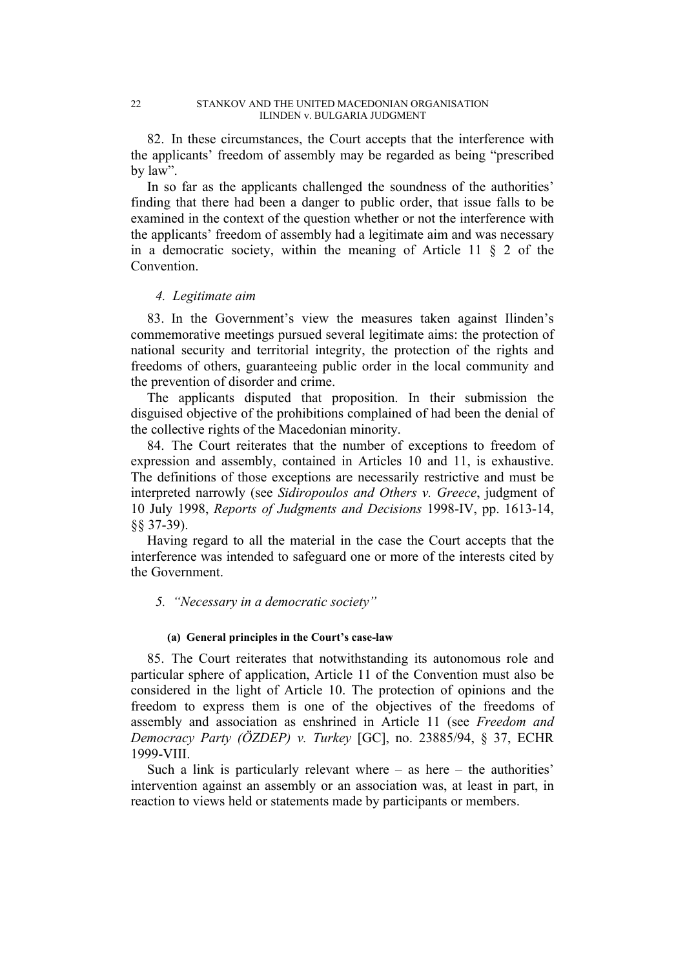82. In these circumstances, the Court accepts that the interference with the applicants' freedom of assembly may be regarded as being "prescribed by law".

In so far as the applicants challenged the soundness of the authorities' finding that there had been a danger to public order, that issue falls to be examined in the context of the question whether or not the interference with the applicants' freedom of assembly had a legitimate aim and was necessary in a democratic society, within the meaning of Article 11  $\S$  2 of the Convention.

## *4. Legitimate aim*

83. In the Government's view the measures taken against Ilinden's commemorative meetings pursued several legitimate aims: the protection of national security and territorial integrity, the protection of the rights and freedoms of others, guaranteeing public order in the local community and the prevention of disorder and crime.

The applicants disputed that proposition. In their submission the disguised objective of the prohibitions complained of had been the denial of the collective rights of the Macedonian minority.

84. The Court reiterates that the number of exceptions to freedom of expression and assembly, contained in Articles 10 and 11, is exhaustive. The definitions of those exceptions are necessarily restrictive and must be interpreted narrowly (see *Sidiropoulos and Others v. Greece*, judgment of 10 July 1998, *Reports of Judgments and Decisions* 1998-IV, pp. 1613-14, §§ 37-39).

Having regard to all the material in the case the Court accepts that the interference was intended to safeguard one or more of the interests cited by the Government.

## *5. "Necessary in a democratic society"*

#### **(a) General principles in the Court's case-law**

85. The Court reiterates that notwithstanding its autonomous role and particular sphere of application, Article 11 of the Convention must also be considered in the light of Article 10. The protection of opinions and the freedom to express them is one of the objectives of the freedoms of assembly and association as enshrined in Article 11 (see *Freedom and Democracy Party (ÖZDEP) v. Turkey* [GC], no. 23885/94, § 37, ECHR 1999-VIII.

Such a link is particularly relevant where  $-$  as here  $-$  the authorities' intervention against an assembly or an association was, at least in part, in reaction to views held or statements made by participants or members.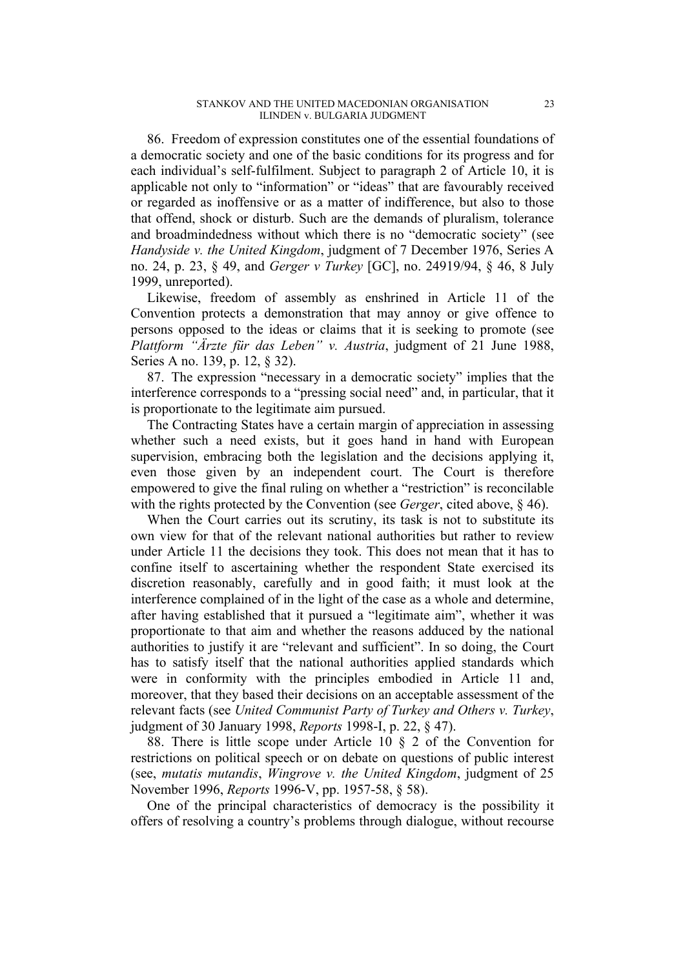86. Freedom of expression constitutes one of the essential foundations of a democratic society and one of the basic conditions for its progress and for each individual's self-fulfilment. Subject to paragraph 2 of Article 10, it is applicable not only to "information" or "ideas" that are favourably received or regarded as inoffensive or as a matter of indifference, but also to those that offend, shock or disturb. Such are the demands of pluralism, tolerance and broadmindedness without which there is no "democratic society" (see *Handyside v. the United Kingdom*, judgment of 7 December 1976, Series A no. 24, p. 23, § 49, and *Gerger v Turkey* [GC], no. 24919/94, § 46, 8 July 1999, unreported).

Likewise, freedom of assembly as enshrined in Article 11 of the Convention protects a demonstration that may annoy or give offence to persons opposed to the ideas or claims that it is seeking to promote (see *Plattform "Ärzte für das Leben" v. Austria*, judgment of 21 June 1988, Series A no. 139, p. 12, § 32).

87. The expression "necessary in a democratic society" implies that the interference corresponds to a "pressing social need" and, in particular, that it is proportionate to the legitimate aim pursued.

The Contracting States have a certain margin of appreciation in assessing whether such a need exists, but it goes hand in hand with European supervision, embracing both the legislation and the decisions applying it, even those given by an independent court. The Court is therefore empowered to give the final ruling on whether a "restriction" is reconcilable with the rights protected by the Convention (see *Gerger*, cited above, § 46).

When the Court carries out its scrutiny, its task is not to substitute its own view for that of the relevant national authorities but rather to review under Article 11 the decisions they took. This does not mean that it has to confine itself to ascertaining whether the respondent State exercised its discretion reasonably, carefully and in good faith; it must look at the interference complained of in the light of the case as a whole and determine, after having established that it pursued a "legitimate aim", whether it was proportionate to that aim and whether the reasons adduced by the national authorities to justify it are "relevant and sufficient". In so doing, the Court has to satisfy itself that the national authorities applied standards which were in conformity with the principles embodied in Article 11 and, moreover, that they based their decisions on an acceptable assessment of the relevant facts (see *United Communist Party of Turkey and Others v. Turkey*, judgment of 30 January 1998, *Reports* 1998-I, p. 22, § 47).

88. There is little scope under Article 10 § 2 of the Convention for restrictions on political speech or on debate on questions of public interest (see, *mutatis mutandis*, *Wingrove v. the United Kingdom*, judgment of 25 November 1996, *Reports* 1996-V, pp. 1957-58, § 58).

One of the principal characteristics of democracy is the possibility it offers of resolving a country's problems through dialogue, without recourse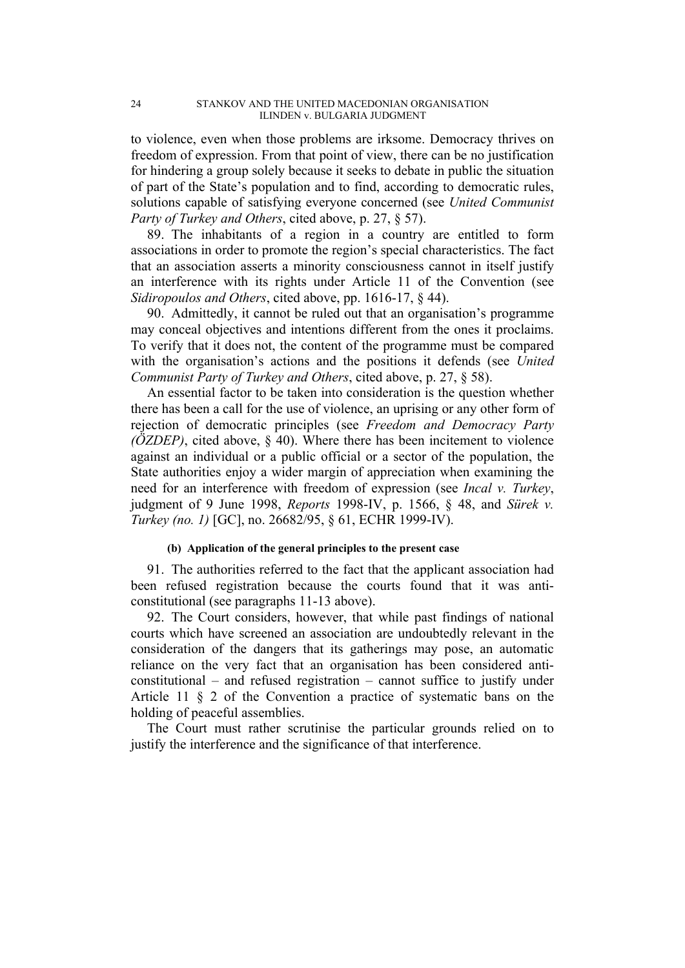to violence, even when those problems are irksome. Democracy thrives on freedom of expression. From that point of view, there can be no justification for hindering a group solely because it seeks to debate in public the situation of part of the State's population and to find, according to democratic rules, solutions capable of satisfying everyone concerned (see *United Communist Party of Turkey and Others*, cited above, p. 27, § 57).

89. The inhabitants of a region in a country are entitled to form associations in order to promote the region's special characteristics. The fact that an association asserts a minority consciousness cannot in itself justify an interference with its rights under Article 11 of the Convention (see *Sidiropoulos and Others*, cited above, pp. 1616-17, § 44).

90. Admittedly, it cannot be ruled out that an organisation's programme may conceal objectives and intentions different from the ones it proclaims. To verify that it does not, the content of the programme must be compared with the organisation's actions and the positions it defends (see *United Communist Party of Turkey and Others*, cited above, p. 27, § 58).

An essential factor to be taken into consideration is the question whether there has been a call for the use of violence, an uprising or any other form of rejection of democratic principles (see *Freedom and Democracy Party (ÖZDEP)*, cited above, § 40). Where there has been incitement to violence against an individual or a public official or a sector of the population, the State authorities enjoy a wider margin of appreciation when examining the need for an interference with freedom of expression (see *Incal v. Turkey*, judgment of 9 June 1998, *Reports* 1998-IV, p. 1566, § 48, and *Sürek v. Turkey (no. 1)* [GC], no. 26682/95, § 61, ECHR 1999-IV).

#### **(b) Application of the general principles to the present case**

91. The authorities referred to the fact that the applicant association had been refused registration because the courts found that it was anticonstitutional (see paragraphs 11-13 above).

92. The Court considers, however, that while past findings of national courts which have screened an association are undoubtedly relevant in the consideration of the dangers that its gatherings may pose, an automatic reliance on the very fact that an organisation has been considered anticonstitutional – and refused registration – cannot suffice to justify under Article 11 § 2 of the Convention a practice of systematic bans on the holding of peaceful assemblies.

The Court must rather scrutinise the particular grounds relied on to justify the interference and the significance of that interference.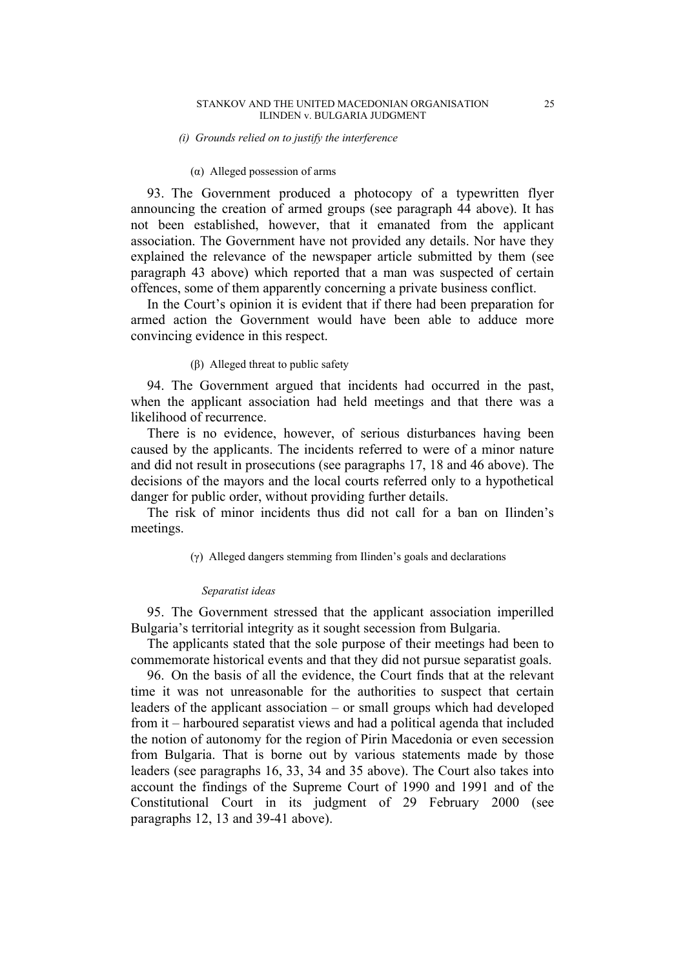#### *(i) Grounds relied on to justify the interference*

## (α) Alleged possession of arms

93. The Government produced a photocopy of a typewritten flyer announcing the creation of armed groups (see paragraph 44 above). It has not been established, however, that it emanated from the applicant association. The Government have not provided any details. Nor have they explained the relevance of the newspaper article submitted by them (see paragraph 43 above) which reported that a man was suspected of certain offences, some of them apparently concerning a private business conflict.

In the Court's opinion it is evident that if there had been preparation for armed action the Government would have been able to adduce more convincing evidence in this respect.

#### (β) Alleged threat to public safety

94. The Government argued that incidents had occurred in the past, when the applicant association had held meetings and that there was a likelihood of recurrence.

There is no evidence, however, of serious disturbances having been caused by the applicants. The incidents referred to were of a minor nature and did not result in prosecutions (see paragraphs 17, 18 and 46 above). The decisions of the mayors and the local courts referred only to a hypothetical danger for public order, without providing further details.

The risk of minor incidents thus did not call for a ban on Ilinden's meetings.

(γ) Alleged dangers stemming from Ilinden's goals and declarations

#### *Separatist ideas*

95. The Government stressed that the applicant association imperilled Bulgaria's territorial integrity as it sought secession from Bulgaria.

The applicants stated that the sole purpose of their meetings had been to commemorate historical events and that they did not pursue separatist goals.

96. On the basis of all the evidence, the Court finds that at the relevant time it was not unreasonable for the authorities to suspect that certain leaders of the applicant association – or small groups which had developed from it – harboured separatist views and had a political agenda that included the notion of autonomy for the region of Pirin Macedonia or even secession from Bulgaria. That is borne out by various statements made by those leaders (see paragraphs 16, 33, 34 and 35 above). The Court also takes into account the findings of the Supreme Court of 1990 and 1991 and of the Constitutional Court in its judgment of 29 February 2000 (see paragraphs 12, 13 and 39-41 above).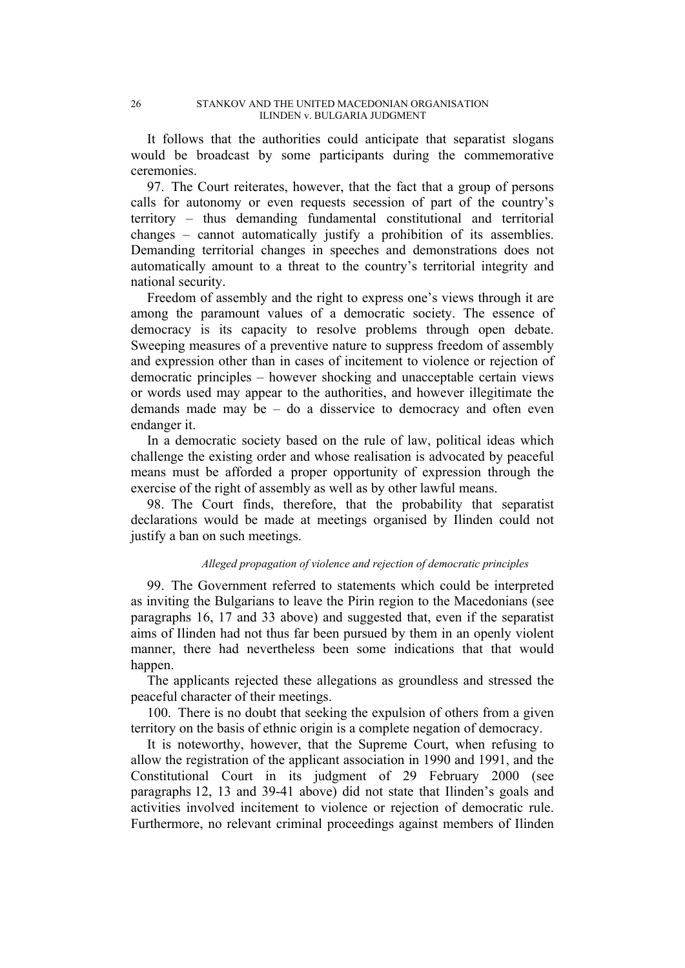It follows that the authorities could anticipate that separatist slogans would be broadcast by some participants during the commemorative ceremonies.

97. The Court reiterates, however, that the fact that a group of persons calls for autonomy or even requests secession of part of the country's territory – thus demanding fundamental constitutional and territorial changes – cannot automatically justify a prohibition of its assemblies. Demanding territorial changes in speeches and demonstrations does not automatically amount to a threat to the country's territorial integrity and national security.

Freedom of assembly and the right to express one's views through it are among the paramount values of a democratic society. The essence of democracy is its capacity to resolve problems through open debate. Sweeping measures of a preventive nature to suppress freedom of assembly and expression other than in cases of incitement to violence or rejection of democratic principles – however shocking and unacceptable certain views or words used may appear to the authorities, and however illegitimate the demands made may be – do a disservice to democracy and often even endanger it.

In a democratic society based on the rule of law, political ideas which challenge the existing order and whose realisation is advocated by peaceful means must be afforded a proper opportunity of expression through the exercise of the right of assembly as well as by other lawful means.

98. The Court finds, therefore, that the probability that separatist declarations would be made at meetings organised by Ilinden could not justify a ban on such meetings.

#### *Alleged propagation of violence and rejection of democratic principles*

99. The Government referred to statements which could be interpreted as inviting the Bulgarians to leave the Pirin region to the Macedonians (see paragraphs 16, 17 and 33 above) and suggested that, even if the separatist aims of Ilinden had not thus far been pursued by them in an openly violent manner, there had nevertheless been some indications that that would happen.

The applicants rejected these allegations as groundless and stressed the peaceful character of their meetings.

100. There is no doubt that seeking the expulsion of others from a given territory on the basis of ethnic origin is a complete negation of democracy.

It is noteworthy, however, that the Supreme Court, when refusing to allow the registration of the applicant association in 1990 and 1991, and the Constitutional Court in its judgment of 29 February 2000 (see paragraphs 12, 13 and 39-41 above) did not state that Ilinden's goals and activities involved incitement to violence or rejection of democratic rule. Furthermore, no relevant criminal proceedings against members of Ilinden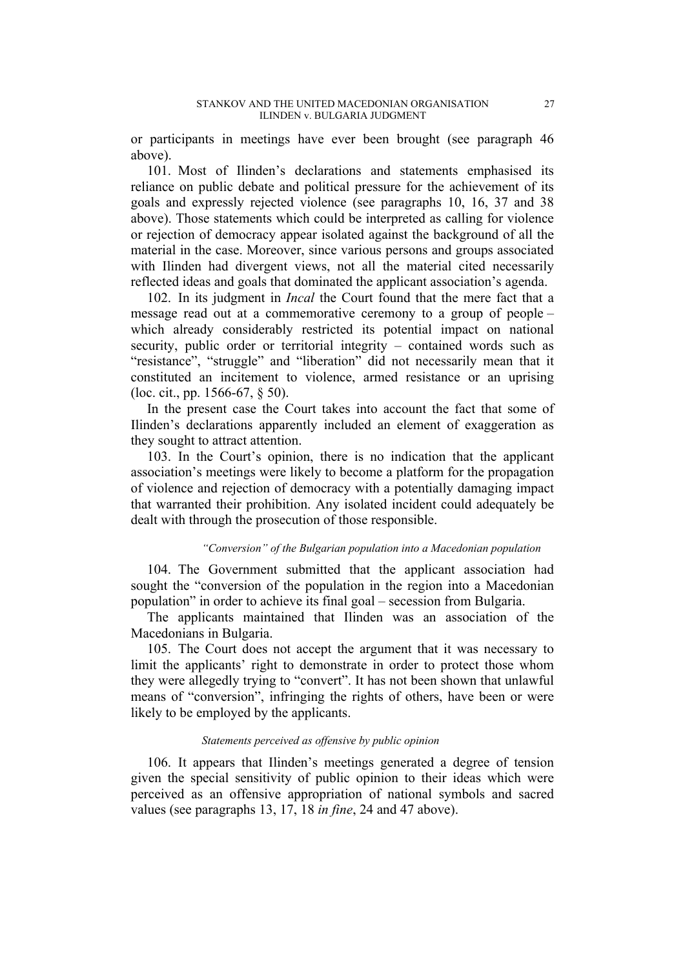or participants in meetings have ever been brought (see paragraph 46 above).

101. Most of Ilinden's declarations and statements emphasised its reliance on public debate and political pressure for the achievement of its goals and expressly rejected violence (see paragraphs 10, 16, 37 and 38 above). Those statements which could be interpreted as calling for violence or rejection of democracy appear isolated against the background of all the material in the case. Moreover, since various persons and groups associated with Ilinden had divergent views, not all the material cited necessarily reflected ideas and goals that dominated the applicant association's agenda.

102. In its judgment in *Incal* the Court found that the mere fact that a message read out at a commemorative ceremony to a group of people – which already considerably restricted its potential impact on national security, public order or territorial integrity – contained words such as "resistance", "struggle" and "liberation" did not necessarily mean that it constituted an incitement to violence, armed resistance or an uprising (loc. cit., pp. 1566-67, § 50).

In the present case the Court takes into account the fact that some of Ilinden's declarations apparently included an element of exaggeration as they sought to attract attention.

103. In the Court's opinion, there is no indication that the applicant association's meetings were likely to become a platform for the propagation of violence and rejection of democracy with a potentially damaging impact that warranted their prohibition. Any isolated incident could adequately be dealt with through the prosecution of those responsible.

## *"Conversion" of the Bulgarian population into a Macedonian population*

104. The Government submitted that the applicant association had sought the "conversion of the population in the region into a Macedonian population" in order to achieve its final goal – secession from Bulgaria.

The applicants maintained that Ilinden was an association of the Macedonians in Bulgaria.

105. The Court does not accept the argument that it was necessary to limit the applicants' right to demonstrate in order to protect those whom they were allegedly trying to "convert". It has not been shown that unlawful means of "conversion", infringing the rights of others, have been or were likely to be employed by the applicants.

#### *Statements perceived as offensive by public opinion*

106. It appears that Ilinden's meetings generated a degree of tension given the special sensitivity of public opinion to their ideas which were perceived as an offensive appropriation of national symbols and sacred values (see paragraphs 13, 17, 18 *in fine*, 24 and 47 above).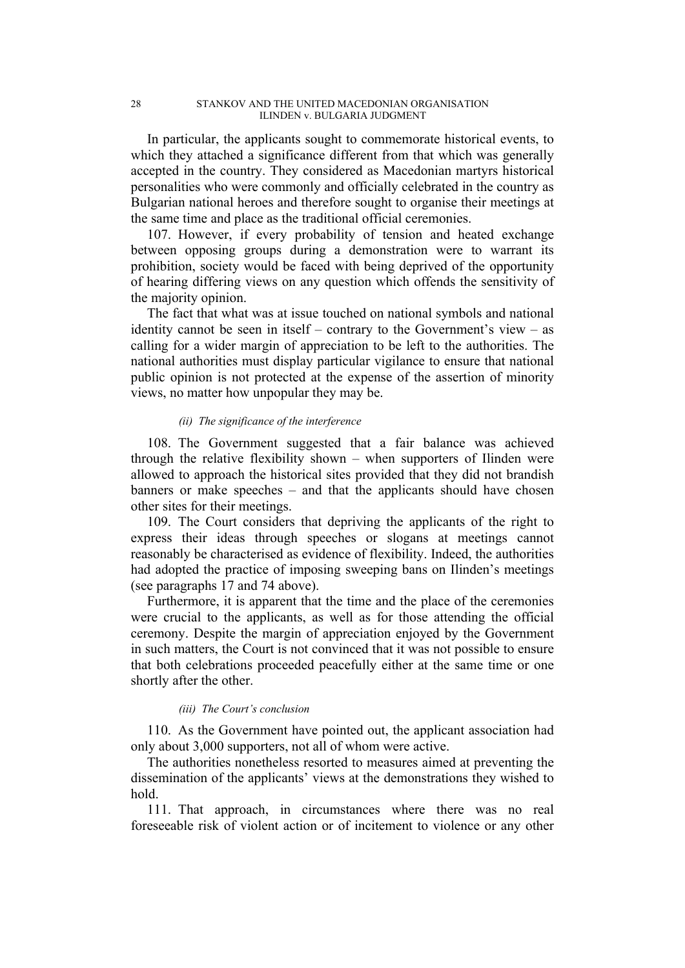In particular, the applicants sought to commemorate historical events, to which they attached a significance different from that which was generally accepted in the country. They considered as Macedonian martyrs historical personalities who were commonly and officially celebrated in the country as Bulgarian national heroes and therefore sought to organise their meetings at the same time and place as the traditional official ceremonies.

107. However, if every probability of tension and heated exchange between opposing groups during a demonstration were to warrant its prohibition, society would be faced with being deprived of the opportunity of hearing differing views on any question which offends the sensitivity of the majority opinion.

The fact that what was at issue touched on national symbols and national identity cannot be seen in itself – contrary to the Government's view – as calling for a wider margin of appreciation to be left to the authorities. The national authorities must display particular vigilance to ensure that national public opinion is not protected at the expense of the assertion of minority views, no matter how unpopular they may be.

#### *(ii) The significance of the interference*

108. The Government suggested that a fair balance was achieved through the relative flexibility shown – when supporters of Ilinden were allowed to approach the historical sites provided that they did not brandish banners or make speeches – and that the applicants should have chosen other sites for their meetings.

109. The Court considers that depriving the applicants of the right to express their ideas through speeches or slogans at meetings cannot reasonably be characterised as evidence of flexibility. Indeed, the authorities had adopted the practice of imposing sweeping bans on Ilinden's meetings (see paragraphs 17 and 74 above).

Furthermore, it is apparent that the time and the place of the ceremonies were crucial to the applicants, as well as for those attending the official ceremony. Despite the margin of appreciation enjoyed by the Government in such matters, the Court is not convinced that it was not possible to ensure that both celebrations proceeded peacefully either at the same time or one shortly after the other.

#### *(iii) The Court's conclusion*

110. As the Government have pointed out, the applicant association had only about 3,000 supporters, not all of whom were active.

The authorities nonetheless resorted to measures aimed at preventing the dissemination of the applicants' views at the demonstrations they wished to hold.

111. That approach, in circumstances where there was no real foreseeable risk of violent action or of incitement to violence or any other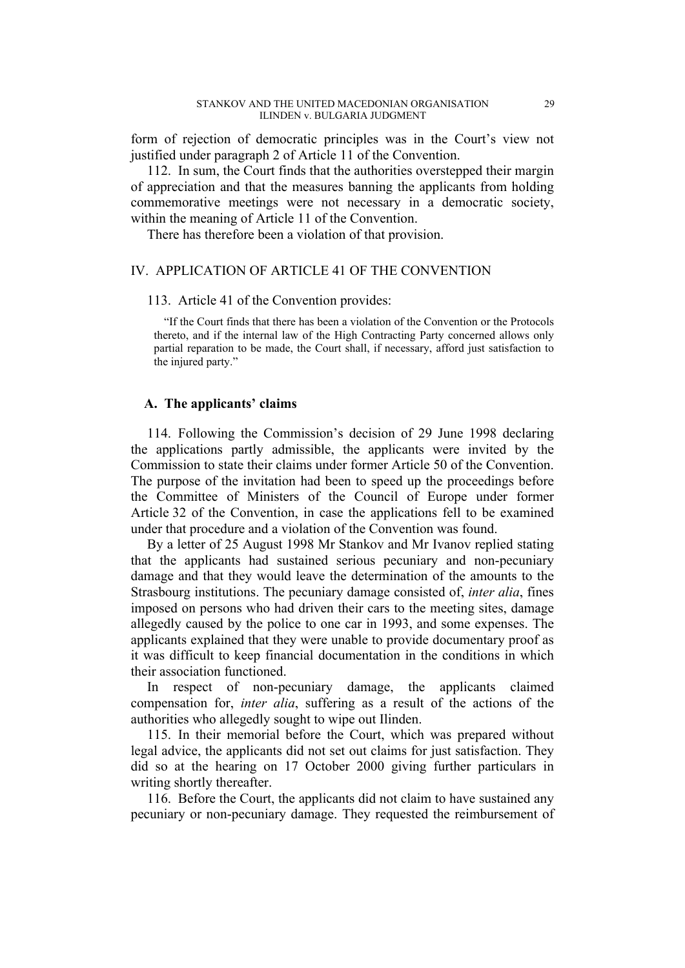form of rejection of democratic principles was in the Court's view not justified under paragraph 2 of Article 11 of the Convention.

112. In sum, the Court finds that the authorities overstepped their margin of appreciation and that the measures banning the applicants from holding commemorative meetings were not necessary in a democratic society, within the meaning of Article 11 of the Convention.

There has therefore been a violation of that provision.

## IV. APPLICATION OF ARTICLE 41 OF THE CONVENTION

# 113. Article 41 of the Convention provides:

"If the Court finds that there has been a violation of the Convention or the Protocols thereto, and if the internal law of the High Contracting Party concerned allows only partial reparation to be made, the Court shall, if necessary, afford just satisfaction to the injured party."

#### **A. The applicants' claims**

114. Following the Commission's decision of 29 June 1998 declaring the applications partly admissible, the applicants were invited by the Commission to state their claims under former Article 50 of the Convention. The purpose of the invitation had been to speed up the proceedings before the Committee of Ministers of the Council of Europe under former Article 32 of the Convention, in case the applications fell to be examined under that procedure and a violation of the Convention was found.

By a letter of 25 August 1998 Mr Stankov and Mr Ivanov replied stating that the applicants had sustained serious pecuniary and non-pecuniary damage and that they would leave the determination of the amounts to the Strasbourg institutions. The pecuniary damage consisted of, *inter alia*, fines imposed on persons who had driven their cars to the meeting sites, damage allegedly caused by the police to one car in 1993, and some expenses. The applicants explained that they were unable to provide documentary proof as it was difficult to keep financial documentation in the conditions in which their association functioned.

In respect of non-pecuniary damage, the applicants claimed compensation for, *inter alia*, suffering as a result of the actions of the authorities who allegedly sought to wipe out Ilinden.

115. In their memorial before the Court, which was prepared without legal advice, the applicants did not set out claims for just satisfaction. They did so at the hearing on 17 October 2000 giving further particulars in writing shortly thereafter.

116. Before the Court, the applicants did not claim to have sustained any pecuniary or non-pecuniary damage. They requested the reimbursement of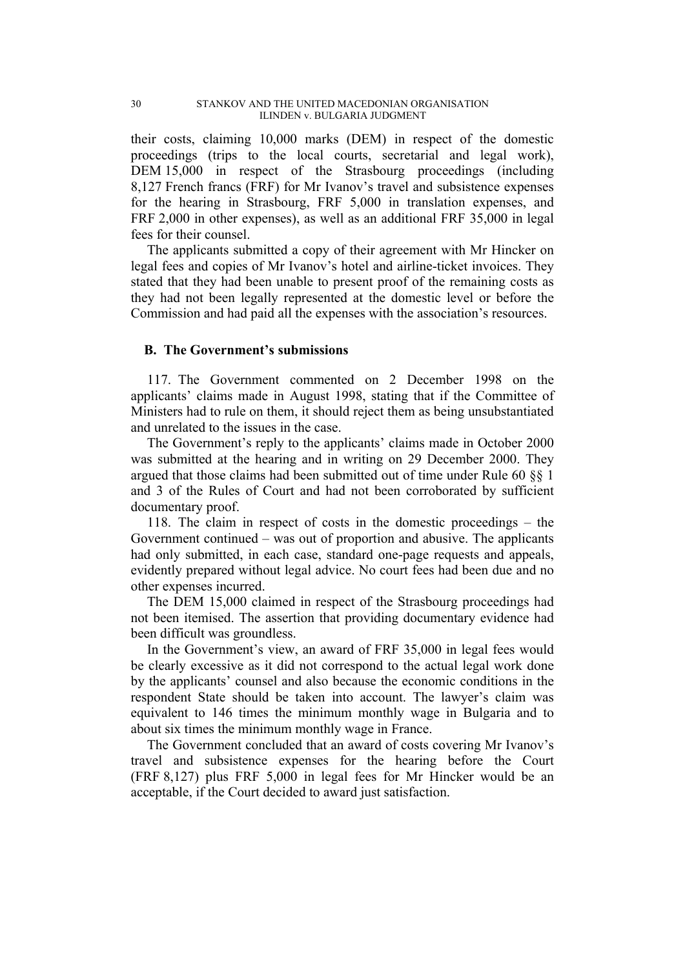their costs, claiming 10,000 marks (DEM) in respect of the domestic proceedings (trips to the local courts, secretarial and legal work), DEM 15,000 in respect of the Strasbourg proceedings (including 8,127 French francs (FRF) for Mr Ivanov's travel and subsistence expenses for the hearing in Strasbourg, FRF 5,000 in translation expenses, and FRF 2,000 in other expenses), as well as an additional FRF 35,000 in legal fees for their counsel.

The applicants submitted a copy of their agreement with Mr Hincker on legal fees and copies of Mr Ivanov's hotel and airline-ticket invoices. They stated that they had been unable to present proof of the remaining costs as they had not been legally represented at the domestic level or before the Commission and had paid all the expenses with the association's resources.

# **B. The Government's submissions**

117. The Government commented on 2 December 1998 on the applicants' claims made in August 1998, stating that if the Committee of Ministers had to rule on them, it should reject them as being unsubstantiated and unrelated to the issues in the case.

The Government's reply to the applicants' claims made in October 2000 was submitted at the hearing and in writing on 29 December 2000. They argued that those claims had been submitted out of time under Rule 60 §§ 1 and 3 of the Rules of Court and had not been corroborated by sufficient documentary proof.

118. The claim in respect of costs in the domestic proceedings – the Government continued – was out of proportion and abusive. The applicants had only submitted, in each case, standard one-page requests and appeals, evidently prepared without legal advice. No court fees had been due and no other expenses incurred.

The DEM 15,000 claimed in respect of the Strasbourg proceedings had not been itemised. The assertion that providing documentary evidence had been difficult was groundless.

In the Government's view, an award of FRF 35,000 in legal fees would be clearly excessive as it did not correspond to the actual legal work done by the applicants' counsel and also because the economic conditions in the respondent State should be taken into account. The lawyer's claim was equivalent to 146 times the minimum monthly wage in Bulgaria and to about six times the minimum monthly wage in France.

The Government concluded that an award of costs covering Mr Ivanov's travel and subsistence expenses for the hearing before the Court (FRF 8,127) plus FRF 5,000 in legal fees for Mr Hincker would be an acceptable, if the Court decided to award just satisfaction.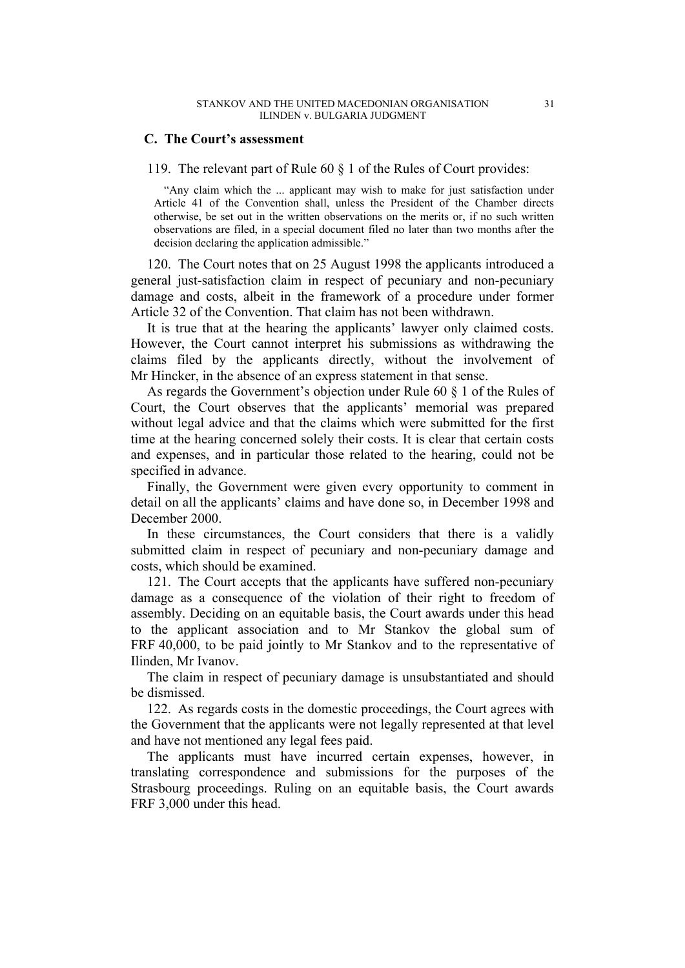## **C. The Court's assessment**

119. The relevant part of Rule 60 § 1 of the Rules of Court provides:

"Any claim which the ... applicant may wish to make for just satisfaction under Article 41 of the Convention shall, unless the President of the Chamber directs otherwise, be set out in the written observations on the merits or, if no such written observations are filed, in a special document filed no later than two months after the decision declaring the application admissible."

120. The Court notes that on 25 August 1998 the applicants introduced a general just-satisfaction claim in respect of pecuniary and non-pecuniary damage and costs, albeit in the framework of a procedure under former Article 32 of the Convention. That claim has not been withdrawn.

It is true that at the hearing the applicants' lawyer only claimed costs. However, the Court cannot interpret his submissions as withdrawing the claims filed by the applicants directly, without the involvement of Mr Hincker, in the absence of an express statement in that sense.

As regards the Government's objection under Rule 60 § 1 of the Rules of Court, the Court observes that the applicants' memorial was prepared without legal advice and that the claims which were submitted for the first time at the hearing concerned solely their costs. It is clear that certain costs and expenses, and in particular those related to the hearing, could not be specified in advance.

Finally, the Government were given every opportunity to comment in detail on all the applicants' claims and have done so, in December 1998 and December 2000.

In these circumstances, the Court considers that there is a validly submitted claim in respect of pecuniary and non-pecuniary damage and costs, which should be examined.

121. The Court accepts that the applicants have suffered non-pecuniary damage as a consequence of the violation of their right to freedom of assembly. Deciding on an equitable basis, the Court awards under this head to the applicant association and to Mr Stankov the global sum of FRF 40,000, to be paid jointly to Mr Stankov and to the representative of Ilinden, Mr Ivanov.

The claim in respect of pecuniary damage is unsubstantiated and should be dismissed.

122. As regards costs in the domestic proceedings, the Court agrees with the Government that the applicants were not legally represented at that level and have not mentioned any legal fees paid.

The applicants must have incurred certain expenses, however, in translating correspondence and submissions for the purposes of the Strasbourg proceedings. Ruling on an equitable basis, the Court awards FRF 3,000 under this head.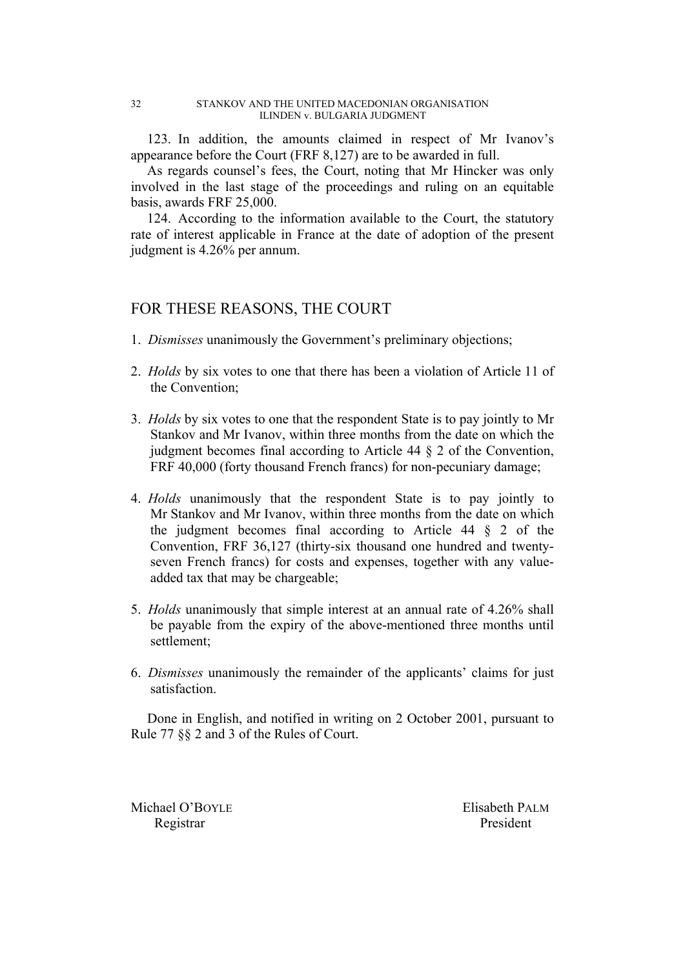123. In addition, the amounts claimed in respect of Mr Ivanov's appearance before the Court (FRF 8,127) are to be awarded in full.

As regards counsel's fees, the Court, noting that Mr Hincker was only involved in the last stage of the proceedings and ruling on an equitable basis, awards FRF 25,000.

124. According to the information available to the Court, the statutory rate of interest applicable in France at the date of adoption of the present judgment is 4.26% per annum.

# FOR THESE REASONS, THE COURT

- 1. *Dismisses* unanimously the Government's preliminary objections;
- 2. *Holds* by six votes to one that there has been a violation of Article 11 of the Convention;
- 3. *Holds* by six votes to one that the respondent State is to pay jointly to Mr Stankov and Mr Ivanov, within three months from the date on which the judgment becomes final according to Article  $44 \& 2$  of the Convention, FRF 40,000 (forty thousand French francs) for non-pecuniary damage;
- 4. *Holds* unanimously that the respondent State is to pay jointly to Mr Stankov and Mr Ivanov, within three months from the date on which the judgment becomes final according to Article 44 § 2 of the Convention, FRF 36,127 (thirty-six thousand one hundred and twentyseven French francs) for costs and expenses, together with any valueadded tax that may be chargeable;
- 5. *Holds* unanimously that simple interest at an annual rate of 4.26% shall be payable from the expiry of the above-mentioned three months until settlement;
- 6. *Dismisses* unanimously the remainder of the applicants' claims for just satisfaction.

Done in English, and notified in writing on 2 October 2001, pursuant to Rule 77 §§ 2 and 3 of the Rules of Court.

Michael O'BOYLE Elisabeth PALM Registrar President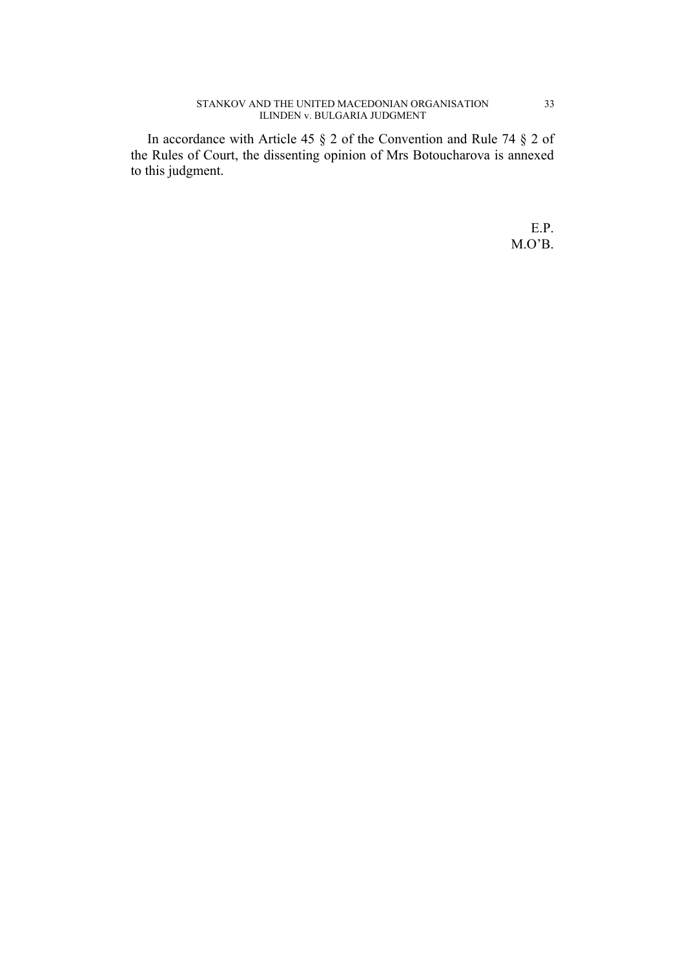In accordance with Article 45 § 2 of the Convention and Rule 74 § 2 of the Rules of Court, the dissenting opinion of Mrs Botoucharova is annexed to this judgment.

> E.P. M.O'B.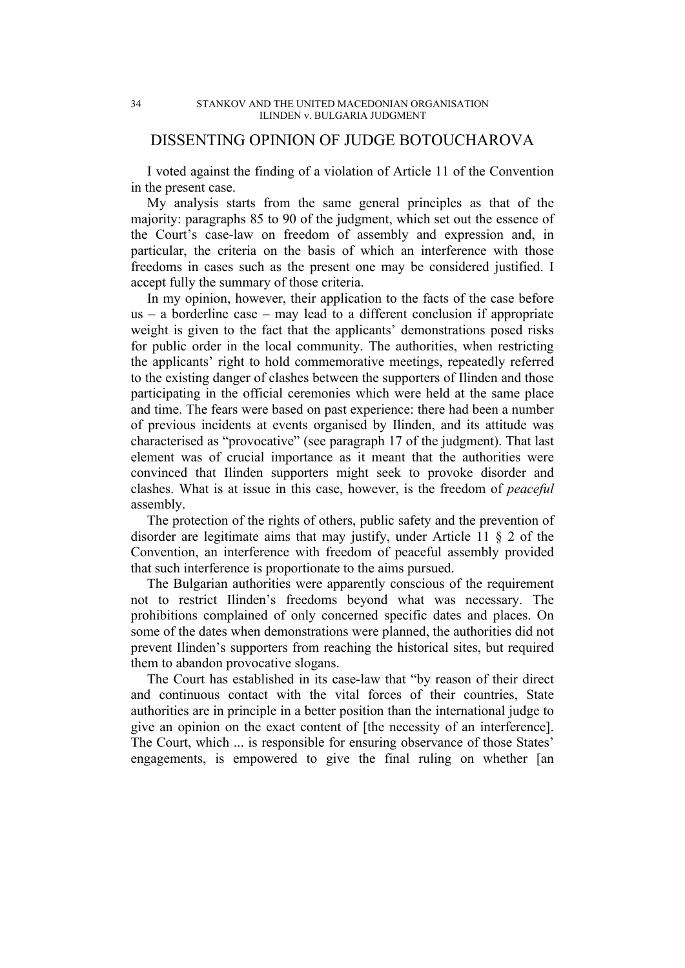# DISSENTING OPINION OF JUDGE BOTOUCHAROVA

I voted against the finding of a violation of Article 11 of the Convention in the present case.

My analysis starts from the same general principles as that of the majority: paragraphs 85 to 90 of the judgment, which set out the essence of the Court's case-law on freedom of assembly and expression and, in particular, the criteria on the basis of which an interference with those freedoms in cases such as the present one may be considered justified. I accept fully the summary of those criteria.

In my opinion, however, their application to the facts of the case before  $us - a$  borderline case – may lead to a different conclusion if appropriate weight is given to the fact that the applicants' demonstrations posed risks for public order in the local community. The authorities, when restricting the applicants' right to hold commemorative meetings, repeatedly referred to the existing danger of clashes between the supporters of Ilinden and those participating in the official ceremonies which were held at the same place and time. The fears were based on past experience: there had been a number of previous incidents at events organised by Ilinden, and its attitude was characterised as "provocative" (see paragraph 17 of the judgment). That last element was of crucial importance as it meant that the authorities were convinced that Ilinden supporters might seek to provoke disorder and clashes. What is at issue in this case, however, is the freedom of *peaceful* assembly.

The protection of the rights of others, public safety and the prevention of disorder are legitimate aims that may justify, under Article 11 § 2 of the Convention, an interference with freedom of peaceful assembly provided that such interference is proportionate to the aims pursued.

The Bulgarian authorities were apparently conscious of the requirement not to restrict Ilinden's freedoms beyond what was necessary. The prohibitions complained of only concerned specific dates and places. On some of the dates when demonstrations were planned, the authorities did not prevent Ilinden's supporters from reaching the historical sites, but required them to abandon provocative slogans.

The Court has established in its case-law that "by reason of their direct and continuous contact with the vital forces of their countries, State authorities are in principle in a better position than the international judge to give an opinion on the exact content of [the necessity of an interference]. The Court, which ... is responsible for ensuring observance of those States' engagements, is empowered to give the final ruling on whether [an